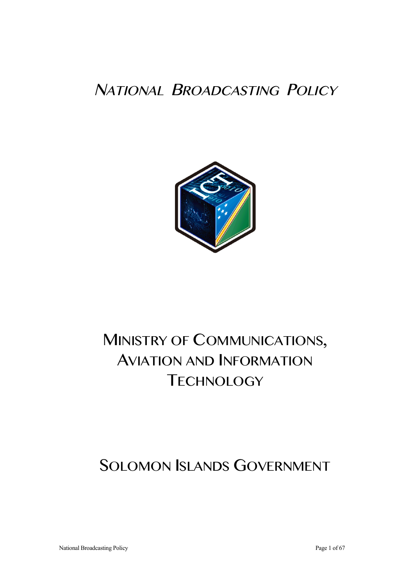# NATIONAL BROADCASTING POLICY



# MINISTRY OF COMMUNICATIONS, AVIATION AND INFORMATION **TECHNOLOGY**

# SOLOMON ISLANDS GOVERNMENT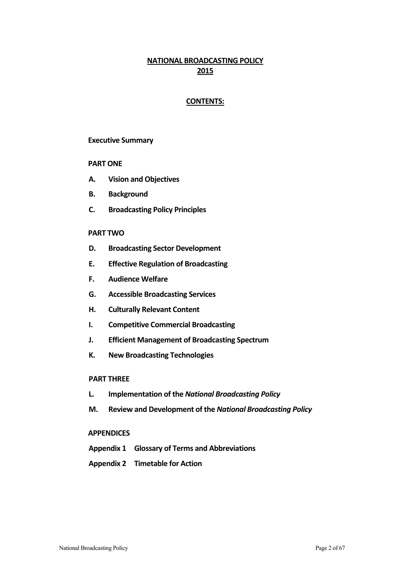# **NATIONAL BROADCASTING POLICY 2015**

# **CONTENTS:**

### **Executive Summary**

#### **PART ONE**

- **A. Vision and Objectives**
- **B. Background**
- **C. Broadcasting Policy Principles**

### **PART TWO**

- **D. Broadcasting Sector Development**
- **E. Effective Regulation of Broadcasting**
- **F. Audience Welfare**
- **G. Accessible Broadcasting Services**
- **H. Culturally Relevant Content**
- **I.** Competitive Commercial Broadcasting
- **J. Efficient Management of Broadcasting Spectrum**
- **K. New Broadcasting Technologies**

## **PART THREE**

- **L. Implementation of the** *National Broadcasting Policy*
- **M. Review and Development of the** *National Broadcasting Policy*

#### **APPENDICES**

- **Appendix 1 Glossary of Terms and Abbreviations**
- **Appendix 2 Timetable for Action**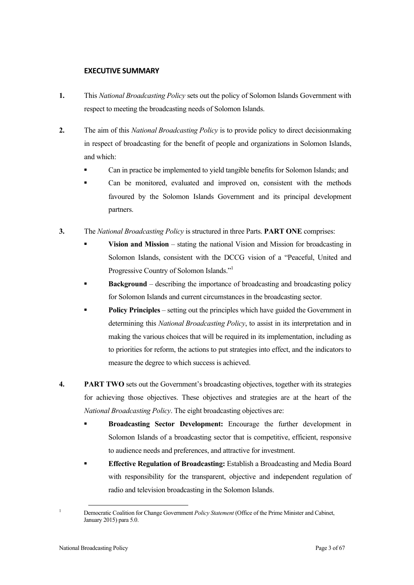# **EXECUTIVE SUMMARY**

- **1.** This *National Broadcasting Policy* sets out the policy of Solomon Islands Government with respect to meeting the broadcasting needs of Solomon Islands.
- **2.** The aim of this *National Broadcasting Policy* is to provide policy to direct decisionmaking in respect of broadcasting for the benefit of people and organizations in Solomon Islands, and which:
	- Can in practice be implemented to yield tangible benefits for Solomon Islands; and
	- Can be monitored, evaluated and improved on, consistent with the methods favoured by the Solomon Islands Government and its principal development partners.
- **3.** The *National Broadcasting Policy* is structured in three Parts. **PART ONE** comprises:
	- **Vision and Mission** stating the national Vision and Mission for broadcasting in Solomon Islands, consistent with the DCCG vision of a "Peaceful, United and Progressive Country of Solomon Islands."<sup>1</sup>
	- **Background** describing the importance of broadcasting and broadcasting policy for Solomon Islands and current circumstances in the broadcasting sector.
	- **Policy Principles** setting out the principles which have guided the Government in determining this *National Broadcasting Policy*, to assist in its interpretation and in making the various choices that will be required in its implementation, including as to priorities for reform, the actions to put strategies into effect, and the indicators to measure the degree to which success is achieved.
- **4. PART TWO** sets out the Government's broadcasting objectives, together with its strategies for achieving those objectives. These objectives and strategies are at the heart of the *National Broadcasting Policy*. The eight broadcasting objectives are:
	- **Broadcasting Sector Development:** Encourage the further development in Solomon Islands of a broadcasting sector that is competitive, efficient, responsive to audience needs and preferences, and attractive for investment.
	- **Effective Regulation of Broadcasting:** Establish a Broadcasting and Media Board with responsibility for the transparent, objective and independent regulation of radio and television broadcasting in the Solomon Islands.

<sup>&</sup>lt;sup>1</sup> Democratic Coalition for Change Government *Policy Statement* (Office of the Prime Minister and Cabinet, January 2015) para 5.0.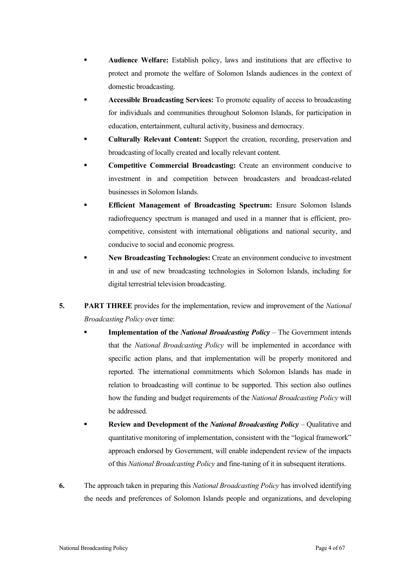- **Audience Welfare:** Establish policy, laws and institutions that are effective to protect and promote the welfare of Solomon Islands audiences in the context of domestic broadcasting.
- **Accessible Broadcasting Services:** To promote equality of access to broadcasting for individuals and communities throughout Solomon Islands, for participation in education, entertainment, cultural activity, business and democracy.
- **Culturally Relevant Content:** Support the creation, recording, preservation and broadcasting of locally created and locally relevant content.
- **Competitive Commercial Broadcasting:** Create an environment conducive to investment in and competition between broadcasters and broadcast-related businesses in Solomon Islands.
- **Efficient Management of Broadcasting Spectrum:** Ensure Solomon Islands radiofrequency spectrum is managed and used in a manner that is efficient, procompetitive, consistent with international obligations and national security, and conducive to social and economic progress.
- **New Broadcasting Technologies:** Create an environment conducive to investment in and use of new broadcasting technologies in Solomon Islands, including for digital terrestrial television broadcasting.
- **5. PART THREE** provides for the implementation, review and improvement of the *National Broadcasting Policy* over time:
	- **Implementation of the** *National Broadcasting Policy* The Government intends that the *National Broadcasting Policy* will be implemented in accordance with specific action plans, and that implementation will be properly monitored and reported. The international commitments which Solomon Islands has made in relation to broadcasting will continue to be supported. This section also outlines how the funding and budget requirements of the *National Broadcasting Policy* will be addressed.
	- **Review and Development of the** *National Broadcasting Policy* Qualitative and quantitative monitoring of implementation, consistent with the "logical framework" approach endorsed by Government, will enable independent review of the impacts of this *National Broadcasting Policy* and fine-tuning of it in subsequent iterations.
- **6.** The approach taken in preparing this *National Broadcasting Policy* has involved identifying the needs and preferences of Solomon Islands people and organizations, and developing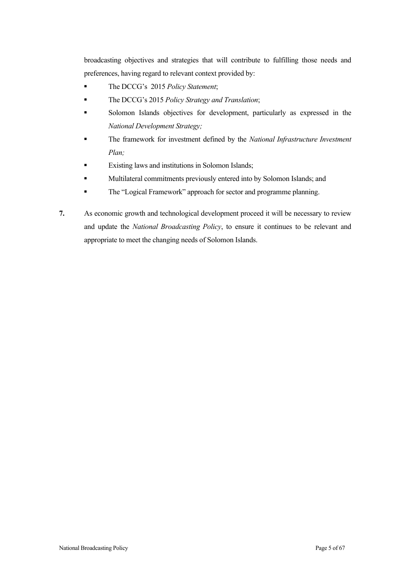broadcasting objectives and strategies that will contribute to fulfilling those needs and preferences, having regard to relevant context provided by:

- The DCCG's 2015 *Policy Statement*;
- The DCCG's 2015 *Policy Strategy and Translation*;
- Solomon Islands objectives for development, particularly as expressed in the *National Development Strategy;*
- The framework for investment defined by the *National Infrastructure Investment Plan;*
- Existing laws and institutions in Solomon Islands;
- Multilateral commitments previously entered into by Solomon Islands; and
- The "Logical Framework" approach for sector and programme planning.
- **7.** As economic growth and technological development proceed it will be necessary to review and update the *National Broadcasting Policy*, to ensure it continues to be relevant and appropriate to meet the changing needs of Solomon Islands.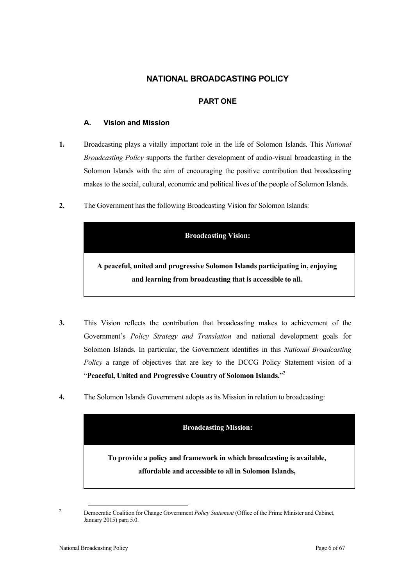# **NATIONAL BROADCASTING POLICY**

# **PART ONE**

# **A. Vision and Mission**

- **1.** Broadcasting plays a vitally important role in the life of Solomon Islands. This *National Broadcasting Policy* supports the further development of audio-visual broadcasting in the Solomon Islands with the aim of encouraging the positive contribution that broadcasting makes to the social, cultural, economic and political lives of the people of Solomon Islands.
- **2.** The Government has the following Broadcasting Vision for Solomon Islands:

# **Broadcasting Vision:**

**A peaceful, united and progressive Solomon Islands participating in, enjoying and learning from broadcasting that is accessible to all.**

- **3.** This Vision reflects the contribution that broadcasting makes to achievement of the Government's *Policy Strategy and Translation* and national development goals for Solomon Islands. In particular, the Government identifies in this *National Broadcasting Policy* a range of objectives that are key to the DCCG Policy Statement vision of a "**Peaceful, United and Progressive Country of Solomon Islands.**" 2
- **4.** The Solomon Islands Government adopts as its Mission in relation to broadcasting:



<sup>&</sup>lt;sup>2</sup> Democratic Coalition for Change Government *Policy Statement* (Office of the Prime Minister and Cabinet, January 2015) para 5.0.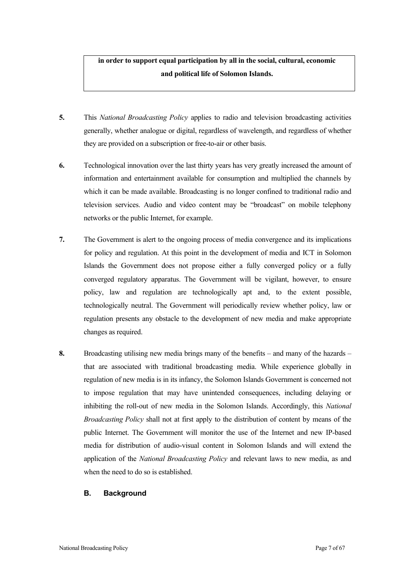# **in order to support equal participation by all in the social, cultural, economic and political life of Solomon Islands.**

- **5.** This *National Broadcasting Policy* applies to radio and television broadcasting activities generally, whether analogue or digital, regardless of wavelength, and regardless of whether they are provided on a subscription or free-to-air or other basis.
- **6.** Technological innovation over the last thirty years has very greatly increased the amount of information and entertainment available for consumption and multiplied the channels by which it can be made available. Broadcasting is no longer confined to traditional radio and television services. Audio and video content may be "broadcast" on mobile telephony networks or the public Internet, for example.
- **7.** The Government is alert to the ongoing process of media convergence and its implications for policy and regulation. At this point in the development of media and ICT in Solomon Islands the Government does not propose either a fully converged policy or a fully converged regulatory apparatus. The Government will be vigilant, however, to ensure policy, law and regulation are technologically apt and, to the extent possible, technologically neutral. The Government will periodically review whether policy, law or regulation presents any obstacle to the development of new media and make appropriate changes as required.
- **8.** Broadcasting utilising new media brings many of the benefits and many of the hazards that are associated with traditional broadcasting media. While experience globally in regulation of new media is in its infancy, the Solomon Islands Government is concerned not to impose regulation that may have unintended consequences, including delaying or inhibiting the roll-out of new media in the Solomon Islands. Accordingly, this *National Broadcasting Policy* shall not at first apply to the distribution of content by means of the public Internet. The Government will monitor the use of the Internet and new IP-based media for distribution of audio-visual content in Solomon Islands and will extend the application of the *National Broadcasting Policy* and relevant laws to new media, as and when the need to do so is established.

### **B. Background**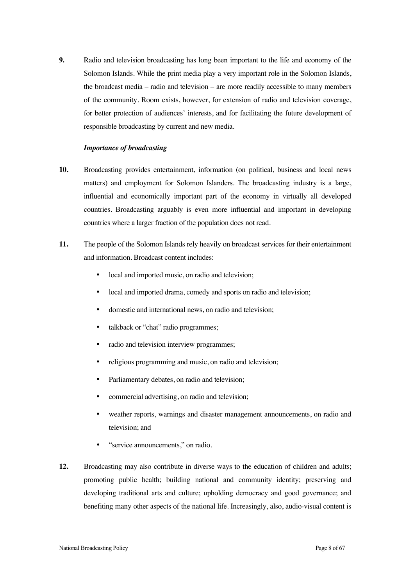**9.** Radio and television broadcasting has long been important to the life and economy of the Solomon Islands. While the print media play a very important role in the Solomon Islands, the broadcast media – radio and television – are more readily accessible to many members of the community. Room exists, however, for extension of radio and television coverage, for better protection of audiences' interests, and for facilitating the future development of responsible broadcasting by current and new media.

#### *Importance of broadcasting*

- **10.** Broadcasting provides entertainment, information (on political, business and local news matters) and employment for Solomon Islanders. The broadcasting industry is a large, influential and economically important part of the economy in virtually all developed countries. Broadcasting arguably is even more influential and important in developing countries where a larger fraction of the population does not read.
- **11.** The people of the Solomon Islands rely heavily on broadcast services for their entertainment and information. Broadcast content includes:
	- local and imported music, on radio and television;
	- local and imported drama, comedy and sports on radio and television;
	- domestic and international news, on radio and television;
	- talkback or "chat" radio programmes;
	- radio and television interview programmes;
	- religious programming and music, on radio and television;
	- Parliamentary debates, on radio and television;
	- commercial advertising, on radio and television;
	- weather reports, warnings and disaster management announcements, on radio and television; and
	- "service announcements," on radio.
- **12.** Broadcasting may also contribute in diverse ways to the education of children and adults; promoting public health; building national and community identity; preserving and developing traditional arts and culture; upholding democracy and good governance; and benefiting many other aspects of the national life. Increasingly, also, audio-visual content is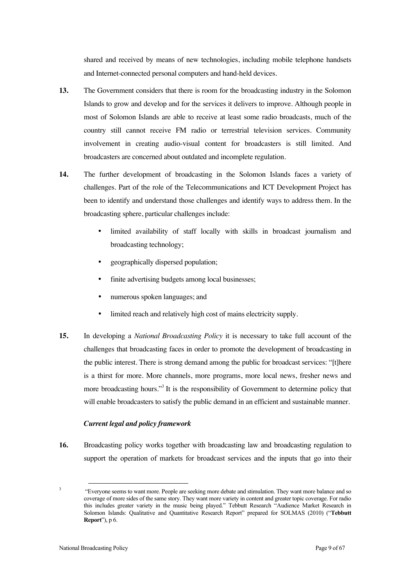shared and received by means of new technologies, including mobile telephone handsets and Internet-connected personal computers and hand-held devices.

- **13.** The Government considers that there is room for the broadcasting industry in the Solomon Islands to grow and develop and for the services it delivers to improve. Although people in most of Solomon Islands are able to receive at least some radio broadcasts, much of the country still cannot receive FM radio or terrestrial television services. Community involvement in creating audio-visual content for broadcasters is still limited. And broadcasters are concerned about outdated and incomplete regulation.
- **14.** The further development of broadcasting in the Solomon Islands faces a variety of challenges. Part of the role of the Telecommunications and ICT Development Project has been to identify and understand those challenges and identify ways to address them. In the broadcasting sphere, particular challenges include:
	- limited availability of staff locally with skills in broadcast journalism and broadcasting technology;
	- geographically dispersed population;
	- finite advertising budgets among local businesses;
	- numerous spoken languages; and
	- limited reach and relatively high cost of mains electricity supply.
- **15.** In developing a *National Broadcasting Policy* it is necessary to take full account of the challenges that broadcasting faces in order to promote the development of broadcasting in the public interest. There is strong demand among the public for broadcast services: "[t]here is a thirst for more. More channels, more programs, more local news, fresher news and more broadcasting hours."<sup>3</sup> It is the responsibility of Government to determine policy that will enable broadcasters to satisfy the public demand in an efficient and sustainable manner.

### *Current legal and policy framework*

**16.** Broadcasting policy works together with broadcasting law and broadcasting regulation to support the operation of markets for broadcast services and the inputs that go into their

<sup>&</sup>lt;sup>3</sup> "Everyone seems to want more. People are seeking more debate and stimulation. They want more balance and so coverage of more sides of the same story. They want more variety in content and greater topic coverage. For radio this includes greater variety in the music being played." Tebbutt Research "Audience Market Research in Solomon Islands: Qualitative and Quantitative Research Report" prepared for SOLMAS (2010) ("**Tebbutt Report**"), p 6.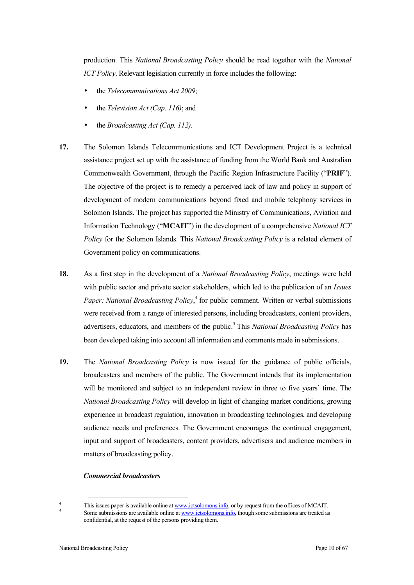production. This *National Broadcasting Policy* should be read together with the *National ICT Policy*. Relevant legislation currently in force includes the following:

- the *Telecommunications Act 2009*;
- the *Television Act (Cap. 116)*; and
- the *Broadcasting Act (Cap. 112)*.
- **17.** The Solomon Islands Telecommunications and ICT Development Project is a technical assistance project set up with the assistance of funding from the World Bank and Australian Commonwealth Government, through the Pacific Region Infrastructure Facility ("**PRIF**"). The objective of the project is to remedy a perceived lack of law and policy in support of development of modern communications beyond fixed and mobile telephony services in Solomon Islands. The project has supported the Ministry of Communications, Aviation and Information Technology ("**MCAIT**") in the development of a comprehensive *National ICT Policy* for the Solomon Islands. This *National Broadcasting Policy* is a related element of Government policy on communications.
- **18.** As a first step in the development of a *National Broadcasting Policy*, meetings were held with public sector and private sector stakeholders, which led to the publication of an *Issues*  Paper: National Broadcasting Policy,<sup>4</sup> for public comment. Written or verbal submissions were received from a range of interested persons, including broadcasters, content providers, advertisers, educators, and members of the public. <sup>5</sup> This *National Broadcasting Policy* has been developed taking into account all information and comments made in submissions.
- **19.** The *National Broadcasting Policy* is now issued for the guidance of public officials, broadcasters and members of the public. The Government intends that its implementation will be monitored and subject to an independent review in three to five years' time. The *National Broadcasting Policy* will develop in light of changing market conditions, growing experience in broadcast regulation, innovation in broadcasting technologies, and developing audience needs and preferences. The Government encourages the continued engagement, input and support of broadcasters, content providers, advertisers and audience members in matters of broadcasting policy.

#### *Commercial broadcasters*

<sup>&</sup>lt;sup>4</sup> This issues paper is available online at <u>www.ictsolomons.info</u>, or by request from the offices of MCAIT.<br><sup>5</sup> Some submissions are available online at <u>www.ictsolomons.info</u>, though some submissions are treated as

confidential, at the request of the persons providing them.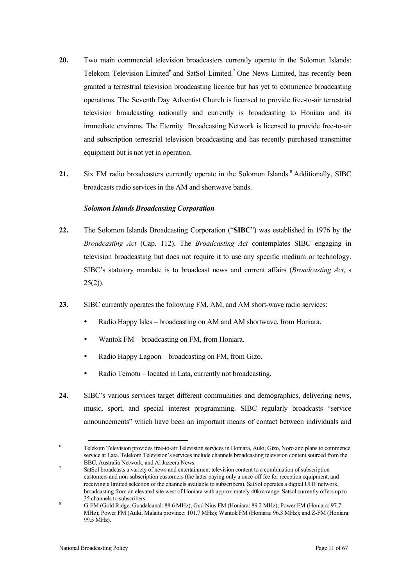- **20.** Two main commercial television broadcasters currently operate in the Solomon Islands: Telekom Television Limited<sup>6</sup> and SatSol Limited.<sup>7</sup> One News Limited, has recently been granted a terrestrial television broadcasting licence but has yet to commence broadcasting operations. The Seventh Day Adventist Church is licensed to provide free-to-air terrestrial television broadcasting nationally and currently is broadcasting to Honiara and its immediate environs. The Eternity Broadcasting Network is licensed to provide free-to-air and subscription terrestrial television broadcasting and has recently purchased transmitter equipment but is not yet in operation.
- 21. Six FM radio broadcasters currently operate in the Solomon Islands.<sup>8</sup> Additionally, SIBC broadcasts radio services in the AM and shortwave bands.

### *Solomon Islands Broadcasting Corporation*

- **22.** The Solomon Islands Broadcasting Corporation ("**SIBC**") was established in 1976 by the *Broadcasting Act* (Cap. 112). The *Broadcasting Act* contemplates SIBC engaging in television broadcasting but does not require it to use any specific medium or technology. SIBC's statutory mandate is to broadcast news and current affairs (*Broadcasting Act*, s  $25(2)$ ).
- **23.** SIBC currently operates the following FM, AM, and AM short-wave radio services:
	- Radio Happy Isles broadcasting on AM and AM shortwave, from Honiara.
	- Wantok FM broadcasting on FM, from Honiara.
	- Radio Happy Lagoon broadcasting on FM, from Gizo.
	- Radio Temotu located in Lata, currently not broadcasting.
- **24.** SIBC's various services target different communities and demographics, delivering news, music, sport, and special interest programming. SIBC regularly broadcasts "service announcements" which have been an important means of contact between individuals and

<sup>6</sup> Telekom Television provides free-to-air Television services in Honiara, Auki, Gizo, Noro and plans to commence service at Lata. Telekom Television's services include channels broadcasting television content sourced from the

BBC, Australia Network, and Al Jazeera News.<br>
<sup>7</sup> SatSol broadcasts a variety of news and entertainment television content to a combination of subscription customers and non-subscription customers (the latter paying only a once-off fee for reception equipment, and receiving a limited selection of the channels available to subscribers). SatSol operates a digital UHF network, broadcasting from an elevated site west of Honiara with approximately 40km range. Satsol currently offers up to

<sup>35</sup> channels to subscribers.<br>
8 G-FM (Gold Ridge, Guadalcanal: 88.6 MHz); Gud Nius FM (Honiara: 89.2 MHz); Power FM (Honiara: 97.7 MHz); Power FM (Auki, Malaita province: 101.7 MHz); Wantok FM (Honiara: 96.3 MHz); and Z-FM (Honiara: 99.5 MHz).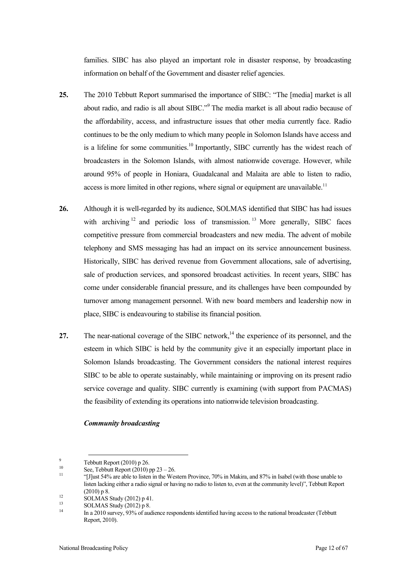families. SIBC has also played an important role in disaster response, by broadcasting information on behalf of the Government and disaster relief agencies.

- **25.** The 2010 Tebbutt Report summarised the importance of SIBC: "The [media] market is all about radio, and radio is all about SIBC."<sup>9</sup> The media market is all about radio because of the affordability, access, and infrastructure issues that other media currently face. Radio continues to be the only medium to which many people in Solomon Islands have access and is a lifeline for some communities.<sup>10</sup> Importantly, SIBC currently has the widest reach of broadcasters in the Solomon Islands, with almost nationwide coverage. However, while around 95% of people in Honiara, Guadalcanal and Malaita are able to listen to radio, access is more limited in other regions, where signal or equipment are unavailable.<sup>11</sup>
- **26.** Although it is well-regarded by its audience, SOLMAS identified that SIBC has had issues with archiving  $12$  and periodic loss of transmission. <sup>13</sup> More generally, SIBC faces competitive pressure from commercial broadcasters and new media. The advent of mobile telephony and SMS messaging has had an impact on its service announcement business. Historically, SIBC has derived revenue from Government allocations, sale of advertising, sale of production services, and sponsored broadcast activities. In recent years, SIBC has come under considerable financial pressure, and its challenges have been compounded by turnover among management personnel. With new board members and leadership now in place, SIBC is endeavouring to stabilise its financial position.
- 27. The near-national coverage of the SIBC network,<sup>14</sup> the experience of its personnel, and the esteem in which SIBC is held by the community give it an especially important place in Solomon Islands broadcasting. The Government considers the national interest requires SIBC to be able to operate sustainably, while maintaining or improving on its present radio service coverage and quality. SIBC currently is examining (with support from PACMAS) the feasibility of extending its operations into nationwide television broadcasting.

#### *Community broadcasting*

<sup>&</sup>lt;sup>9</sup><br>
10 See, Tebbutt Report (2010) pp 23 – 26.<br>
<sup>11</sup> [J]ust 54% are able to listen in the Western Province, 70% in Makira, and 87% in Isabel (with those unable to listen lacking either a radio signal or having no radio to listen to, even at the community level)", Tebbutt Report (2010) p 8.<br>
1<sup>2</sup> SOLMAS Study (2012) p 41.<br>
13 SOLMAS Study (2012) p 8.<br>
14 In a 2010 survey, 93% of audience respondents identified having access to the national broadcaster (Tebbutt

Report, 2010).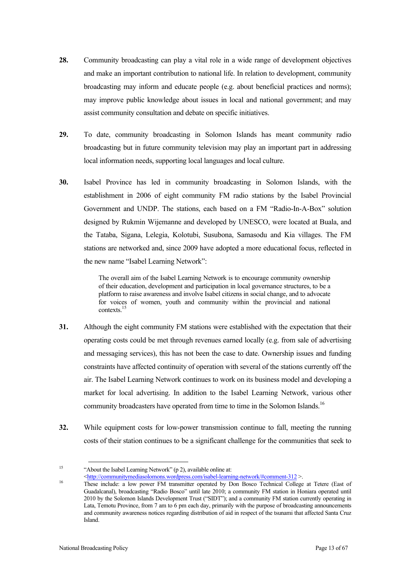- **28.** Community broadcasting can play a vital role in a wide range of development objectives and make an important contribution to national life. In relation to development, community broadcasting may inform and educate people (e.g. about beneficial practices and norms); may improve public knowledge about issues in local and national government; and may assist community consultation and debate on specific initiatives.
- **29.** To date, community broadcasting in Solomon Islands has meant community radio broadcasting but in future community television may play an important part in addressing local information needs, supporting local languages and local culture.
- **30.** Isabel Province has led in community broadcasting in Solomon Islands, with the establishment in 2006 of eight community FM radio stations by the Isabel Provincial Government and UNDP. The stations, each based on a FM "Radio-In-A-Box" solution designed by Rukmin Wijemanne and developed by UNESCO, were located at Buala, and the Tataba, Sigana, Lelegia, Kolotubi, Susubona, Samasodu and Kia villages. The FM stations are networked and, since 2009 have adopted a more educational focus, reflected in the new name "Isabel Learning Network":

The overall aim of the Isabel Learning Network is to encourage community ownership of their education, development and participation in local governance structures, to be a platform to raise awareness and involve Isabel citizens in social change, and to advocate for voices of women, youth and community within the provincial and national contexts.<sup>1</sup>

- **31.** Although the eight community FM stations were established with the expectation that their operating costs could be met through revenues earned locally (e.g. from sale of advertising and messaging services), this has not been the case to date. Ownership issues and funding constraints have affected continuity of operation with several of the stations currently off the air. The Isabel Learning Network continues to work on its business model and developing a market for local advertising. In addition to the Isabel Learning Network, various other community broadcasters have operated from time to time in the Solomon Islands.<sup>16</sup>
- **32.** While equipment costs for low-power transmission continue to fall, meeting the running costs of their station continues to be a significant challenge for the communities that seek to

<sup>15</sup> "About the Isabel Learning Network" (p 2), available online at:<br>  $\leq$ http://communitymediasolomons.wordpress.com/isabel-learning-network/#comment-312 >.

<sup>&</sup>lt;sup>16</sup> These include: a low power FM transmitter operated by Don Bosco Technical College at Tetere (East of Guadalcanal), broadcasting "Radio Bosco" until late 2010; a community FM station in Honiara operated until 2010 by the Solomon Islands Development Trust ("SIDT"); and a community FM station currently operating in Lata, Temotu Province, from 7 am to 6 pm each day, primarily with the purpose of broadcasting announcements and community awareness notices regarding distribution of aid in respect of the tsunami that affected Santa Cruz Island.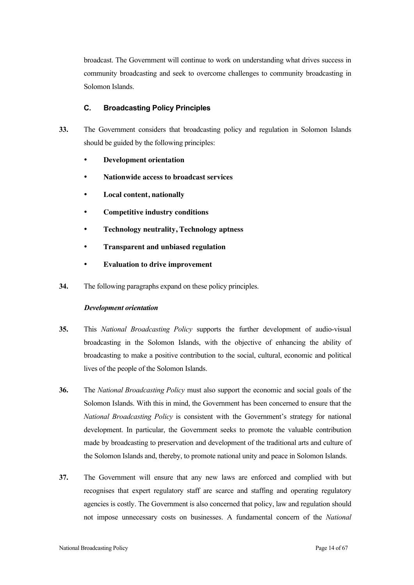broadcast. The Government will continue to work on understanding what drives success in community broadcasting and seek to overcome challenges to community broadcasting in Solomon Islands.

#### **C. Broadcasting Policy Principles**

- **33.** The Government considers that broadcasting policy and regulation in Solomon Islands should be guided by the following principles:
	- **Development orientation**
	- **Nationwide access to broadcast services**
	- **Local content, nationally**
	- **Competitive industry conditions**
	- **Technology neutrality, Technology aptness**
	- **Transparent and unbiased regulation**
	- **Evaluation to drive improvement**
- **34.** The following paragraphs expand on these policy principles.

#### *Development orientation*

- **35.** This *National Broadcasting Policy* supports the further development of audio-visual broadcasting in the Solomon Islands, with the objective of enhancing the ability of broadcasting to make a positive contribution to the social, cultural, economic and political lives of the people of the Solomon Islands.
- **36.** The *National Broadcasting Policy* must also support the economic and social goals of the Solomon Islands. With this in mind, the Government has been concerned to ensure that the *National Broadcasting Policy* is consistent with the Government's strategy for national development. In particular, the Government seeks to promote the valuable contribution made by broadcasting to preservation and development of the traditional arts and culture of the Solomon Islands and, thereby, to promote national unity and peace in Solomon Islands.
- **37.** The Government will ensure that any new laws are enforced and complied with but recognises that expert regulatory staff are scarce and staffing and operating regulatory agencies is costly. The Government is also concerned that policy, law and regulation should not impose unnecessary costs on businesses. A fundamental concern of the *National*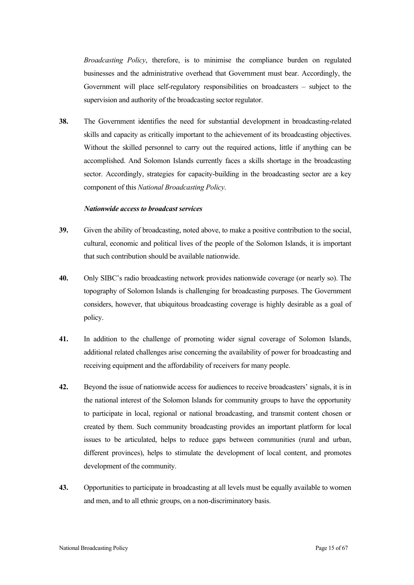*Broadcasting Policy*, therefore, is to minimise the compliance burden on regulated businesses and the administrative overhead that Government must bear. Accordingly, the Government will place self-regulatory responsibilities on broadcasters – subject to the supervision and authority of the broadcasting sector regulator.

**38.** The Government identifies the need for substantial development in broadcasting-related skills and capacity as critically important to the achievement of its broadcasting objectives. Without the skilled personnel to carry out the required actions, little if anything can be accomplished. And Solomon Islands currently faces a skills shortage in the broadcasting sector. Accordingly, strategies for capacity-building in the broadcasting sector are a key component of this *National Broadcasting Policy*.

#### *Nationwide access to broadcast services*

- **39.** Given the ability of broadcasting, noted above, to make a positive contribution to the social, cultural, economic and political lives of the people of the Solomon Islands, it is important that such contribution should be available nationwide.
- **40.** Only SIBC's radio broadcasting network provides nationwide coverage (or nearly so). The topography of Solomon Islands is challenging for broadcasting purposes. The Government considers, however, that ubiquitous broadcasting coverage is highly desirable as a goal of policy.
- **41.** In addition to the challenge of promoting wider signal coverage of Solomon Islands, additional related challenges arise concerning the availability of power for broadcasting and receiving equipment and the affordability of receivers for many people.
- **42.** Beyond the issue of nationwide access for audiences to receive broadcasters' signals, it is in the national interest of the Solomon Islands for community groups to have the opportunity to participate in local, regional or national broadcasting, and transmit content chosen or created by them. Such community broadcasting provides an important platform for local issues to be articulated, helps to reduce gaps between communities (rural and urban, different provinces), helps to stimulate the development of local content, and promotes development of the community.
- **43.** Opportunities to participate in broadcasting at all levels must be equally available to women and men, and to all ethnic groups, on a non-discriminatory basis.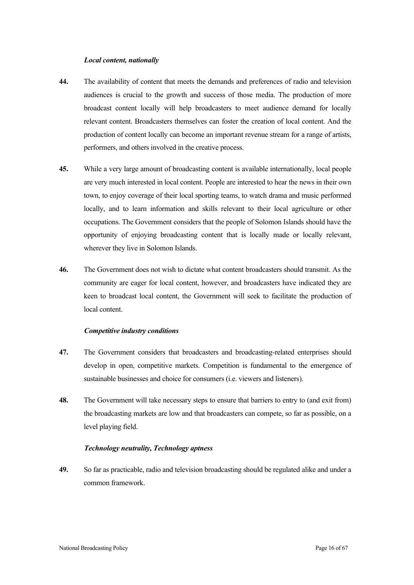#### *Local content, nationally*

- **44.** The availability of content that meets the demands and preferences of radio and television audiences is crucial to the growth and success of those media. The production of more broadcast content locally will help broadcasters to meet audience demand for locally relevant content. Broadcasters themselves can foster the creation of local content. And the production of content locally can become an important revenue stream for a range of artists, performers, and others involved in the creative process.
- **45.** While a very large amount of broadcasting content is available internationally, local people are very much interested in local content. People are interested to hear the news in their own town, to enjoy coverage of their local sporting teams, to watch drama and music performed locally, and to learn information and skills relevant to their local agriculture or other occupations. The Government considers that the people of Solomon Islands should have the opportunity of enjoying broadcasting content that is locally made or locally relevant, wherever they live in Solomon Islands.
- **46.** The Government does not wish to dictate what content broadcasters should transmit. As the community are eager for local content, however, and broadcasters have indicated they are keen to broadcast local content, the Government will seek to facilitate the production of local content.

#### *Competitive industry conditions*

- **47.** The Government considers that broadcasters and broadcasting-related enterprises should develop in open, competitive markets. Competition is fundamental to the emergence of sustainable businesses and choice for consumers (i.e. viewers and listeners).
- **48.** The Government will take necessary steps to ensure that barriers to entry to (and exit from) the broadcasting markets are low and that broadcasters can compete, so far as possible, on a level playing field.

### *Technology neutrality, Technology aptness*

**49.** So far as practicable, radio and television broadcasting should be regulated alike and under a common framework.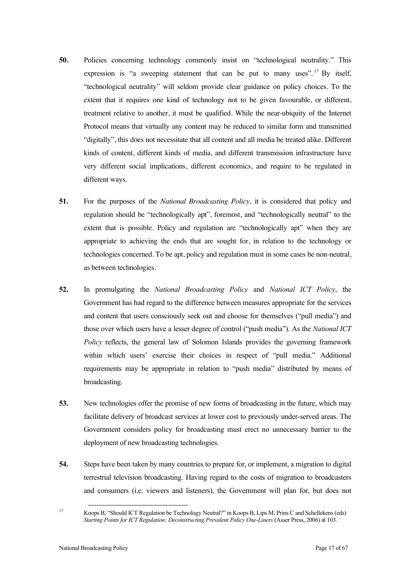- **50.** Policies concerning technology commonly insist on "technological neutrality." This expression is "a sweeping statement that can be put to many uses".<sup>17</sup> By itself, "technological neutrality" will seldom provide clear guidance on policy choices. To the extent that it requires one kind of technology not to be given favourable, or different, treatment relative to another, it must be qualified. While the near-ubiquity of the Internet Protocol means that virtually any content may be reduced to similar form and transmitted "digitally", this does not necessitate that all content and all media be treated alike. Different kinds of content, different kinds of media, and different transmission infrastructure have very different social implications, different economics, and require to be regulated in different ways.
- **51.** For the purposes of the *National Broadcasting Policy*, it is considered that policy and regulation should be "technologically apt", foremost, and "technologically neutral" to the extent that is possible. Policy and regulation are "technologically apt" when they are appropriate to achieving the ends that are sought for, in relation to the technology or technologies concerned. To be apt, policy and regulation must in some cases be non-neutral, as between technologies.
- **52.** In promulgating the *National Broadcasting Policy* and *National ICT Policy*, the Government has had regard to the difference between measures appropriate for the services and content that users consciously seek out and choose for themselves ("pull media") and those over which users have a lesser degree of control ("push media"). As the *National ICT Policy* reflects, the general law of Solomon Islands provides the governing framework within which users' exercise their choices in respect of "pull media." Additional requirements may be appropriate in relation to "push media" distributed by means of broadcasting.
- **53.** New technologies offer the promise of new forms of broadcasting in the future, which may facilitate delivery of broadcast services at lower cost to previously under-served areas. The Government considers policy for broadcasting must erect no unnecessary barrier to the deployment of new broadcasting technologies.
- **54.** Steps have been taken by many countries to prepare for, or implement, a migration to digital terrestrial television broadcasting. Having regard to the costs of migration to broadcasters and consumers (i.e. viewers and listeners), the Government will plan for, but does not

<sup>17</sup> Koops B, "Should ICT Regulation be Technology Neutral?" in Koops B, Lips M, Prins C and Schellekens (eds) *Starting Points for ICT Regulation: Deconstructing Prevalent Policy One-Liners* (Asser Press, 2006) at 103.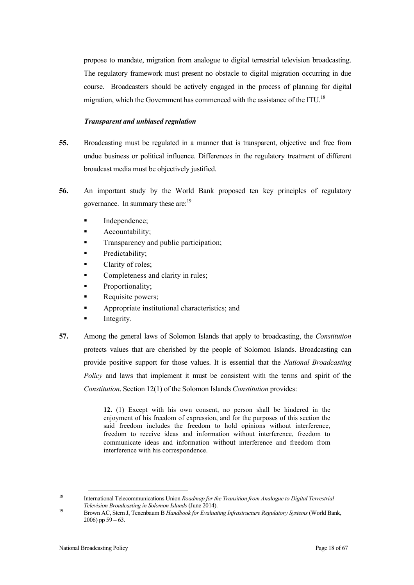propose to mandate, migration from analogue to digital terrestrial television broadcasting. The regulatory framework must present no obstacle to digital migration occurring in due course. Broadcasters should be actively engaged in the process of planning for digital migration, which the Government has commenced with the assistance of the ITU.<sup>18</sup>

#### *Transparent and unbiased regulation*

- **55.** Broadcasting must be regulated in a manner that is transparent, objective and free from undue business or political influence. Differences in the regulatory treatment of different broadcast media must be objectively justified.
- **56.** An important study by the World Bank proposed ten key principles of regulatory governance. In summary these are:<sup>19</sup>
	- Independence;
	- **Accountability**;
	- Transparency and public participation;
	- Predictability;
	- Clarity of roles;
	- Completeness and clarity in rules;
	- Proportionality;
	- Requisite powers;
	- **Appropriate institutional characteristics; and**
	- Integrity.
- **57.** Among the general laws of Solomon Islands that apply to broadcasting, the *Constitution* protects values that are cherished by the people of Solomon Islands. Broadcasting can provide positive support for those values. It is essential that the *National Broadcasting Policy* and laws that implement it must be consistent with the terms and spirit of the *Constitution*. Section 12(1) of the Solomon Islands *Constitution* provides:

**12.** (1) Except with his own consent, no person shall be hindered in the enjoyment of his freedom of expression, and for the purposes of this section the said freedom includes the freedom to hold opinions without interference, freedom to receive ideas and information without interference, freedom to communicate ideas and information without interference and freedom from interference with his correspondence.

<sup>18</sup> International Telecommunications Union *Roadmap for the Transition from Analogue to Digital Terrestrial Television Broadcasting in Solomon Islands* (June 2014). <sup>19</sup> Brown AC, Stern J, Tenenbaum B *Handbook for Evaluating Infrastructure Regulatory Systems* (World Bank,

 $2006$ ) pp  $59 - 63$ .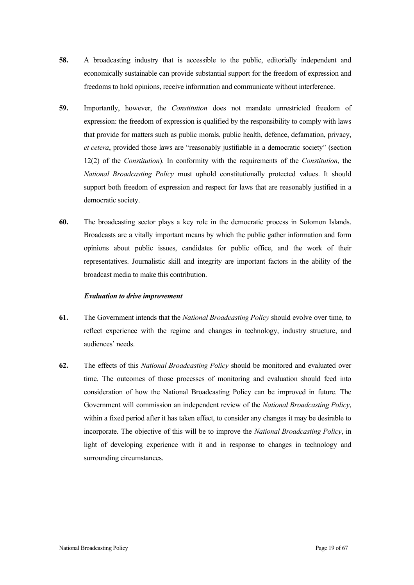- **58.** A broadcasting industry that is accessible to the public, editorially independent and economically sustainable can provide substantial support for the freedom of expression and freedoms to hold opinions, receive information and communicate without interference.
- **59.** Importantly, however, the *Constitution* does not mandate unrestricted freedom of expression: the freedom of expression is qualified by the responsibility to comply with laws that provide for matters such as public morals, public health, defence, defamation, privacy, *et cetera*, provided those laws are "reasonably justifiable in a democratic society" (section 12(2) of the *Constitution*). In conformity with the requirements of the *Constitution*, the *National Broadcasting Policy* must uphold constitutionally protected values. It should support both freedom of expression and respect for laws that are reasonably justified in a democratic society.
- **60.** The broadcasting sector plays a key role in the democratic process in Solomon Islands. Broadcasts are a vitally important means by which the public gather information and form opinions about public issues, candidates for public office, and the work of their representatives. Journalistic skill and integrity are important factors in the ability of the broadcast media to make this contribution.

#### *Evaluation to drive improvement*

- **61.** The Government intends that the *National Broadcasting Policy* should evolve over time, to reflect experience with the regime and changes in technology, industry structure, and audiences' needs.
- **62.** The effects of this *National Broadcasting Policy* should be monitored and evaluated over time. The outcomes of those processes of monitoring and evaluation should feed into consideration of how the National Broadcasting Policy can be improved in future. The Government will commission an independent review of the *National Broadcasting Policy*, within a fixed period after it has taken effect, to consider any changes it may be desirable to incorporate. The objective of this will be to improve the *National Broadcasting Policy*, in light of developing experience with it and in response to changes in technology and surrounding circumstances.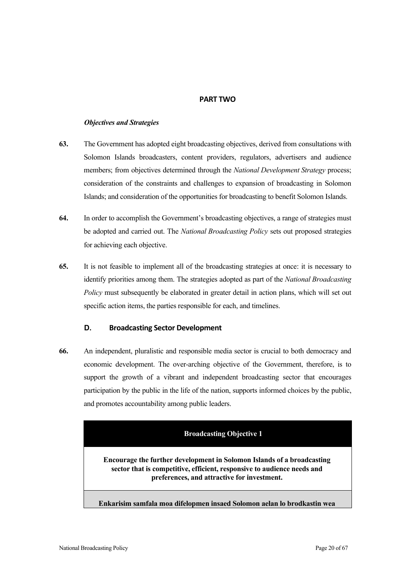### **PART TWO**

### *Objectives and Strategies*

- **63.** The Government has adopted eight broadcasting objectives, derived from consultations with Solomon Islands broadcasters, content providers, regulators, advertisers and audience members; from objectives determined through the *National Development Strategy* process; consideration of the constraints and challenges to expansion of broadcasting in Solomon Islands; and consideration of the opportunities for broadcasting to benefit Solomon Islands.
- **64.** In order to accomplish the Government's broadcasting objectives, a range of strategies must be adopted and carried out. The *National Broadcasting Policy* sets out proposed strategies for achieving each objective.
- **65.** It is not feasible to implement all of the broadcasting strategies at once: it is necessary to identify priorities among them. The strategies adopted as part of the *National Broadcasting Policy* must subsequently be elaborated in greater detail in action plans, which will set out specific action items, the parties responsible for each, and timelines.

### **D.** Broadcasting Sector Development

**66.** An independent, pluralistic and responsible media sector is crucial to both democracy and economic development. The over-arching objective of the Government, therefore, is to support the growth of a vibrant and independent broadcasting sector that encourages participation by the public in the life of the nation, supports informed choices by the public, and promotes accountability among public leaders.

### **Broadcasting Objective 1**

**Encourage the further development in Solomon Islands of a broadcasting sector that is competitive, efficient, responsive to audience needs and preferences, and attractive for investment.** 

**Enkarisim samfala moa difelopmen insaed Solomon aelan lo brodkastin wea**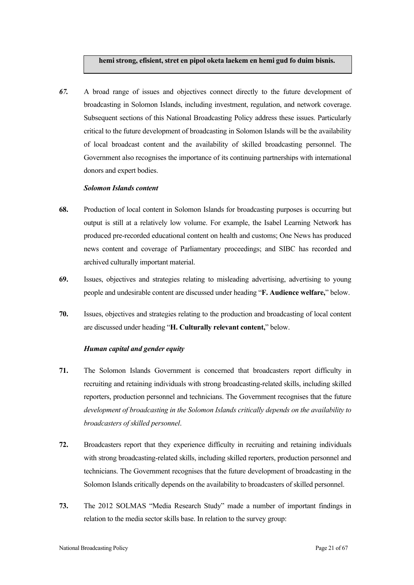#### **hemi strong, efisient, stret en pipol oketa laekem en hemi gud fo duim bisnis.**

*67.* A broad range of issues and objectives connect directly to the future development of broadcasting in Solomon Islands, including investment, regulation, and network coverage. Subsequent sections of this National Broadcasting Policy address these issues. Particularly critical to the future development of broadcasting in Solomon Islands will be the availability of local broadcast content and the availability of skilled broadcasting personnel. The Government also recognises the importance of its continuing partnerships with international donors and expert bodies.

#### *Solomon Islands content*

- **68.** Production of local content in Solomon Islands for broadcasting purposes is occurring but output is still at a relatively low volume. For example, the Isabel Learning Network has produced pre-recorded educational content on health and customs; One News has produced news content and coverage of Parliamentary proceedings; and SIBC has recorded and archived culturally important material.
- **69.** Issues, objectives and strategies relating to misleading advertising, advertising to young people and undesirable content are discussed under heading "**F. Audience welfare,**" below.
- **70.** Issues, objectives and strategies relating to the production and broadcasting of local content are discussed under heading "**H. Culturally relevant content,**" below.

#### *Human capital and gender equity*

- **71.** The Solomon Islands Government is concerned that broadcasters report difficulty in recruiting and retaining individuals with strong broadcasting-related skills, including skilled reporters, production personnel and technicians. The Government recognises that the future *development of broadcasting in the Solomon Islands critically depends on the availability to broadcasters of skilled personnel*.
- **72.** Broadcasters report that they experience difficulty in recruiting and retaining individuals with strong broadcasting-related skills, including skilled reporters, production personnel and technicians. The Government recognises that the future development of broadcasting in the Solomon Islands critically depends on the availability to broadcasters of skilled personnel.
- **73.** The 2012 SOLMAS "Media Research Study" made a number of important findings in relation to the media sector skills base. In relation to the survey group: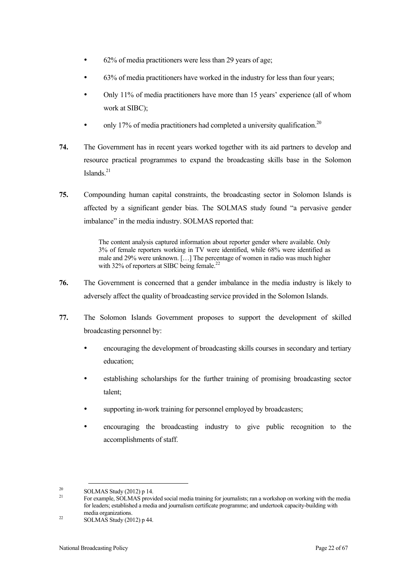- 62% of media practitioners were less than 29 years of age;
- 63% of media practitioners have worked in the industry for less than four years;
- Only 11% of media practitioners have more than 15 years' experience (all of whom work at SIBC);
- only 17% of media practitioners had completed a university qualification.<sup>20</sup>
- **74.** The Government has in recent years worked together with its aid partners to develop and resource practical programmes to expand the broadcasting skills base in the Solomon Islands. $^{21}$
- **75.** Compounding human capital constraints, the broadcasting sector in Solomon Islands is affected by a significant gender bias. The SOLMAS study found "a pervasive gender imbalance" in the media industry. SOLMAS reported that:

The content analysis captured information about reporter gender where available. Only 3% of female reporters working in TV were identified, while 68% were identified as male and 29% were unknown. […] The percentage of women in radio was much higher with 32% of reporters at SIBC being female.<sup>22</sup>

- **76.** The Government is concerned that a gender imbalance in the media industry is likely to adversely affect the quality of broadcasting service provided in the Solomon Islands.
- **77.** The Solomon Islands Government proposes to support the development of skilled broadcasting personnel by:
	- encouraging the development of broadcasting skills courses in secondary and tertiary education;
	- establishing scholarships for the further training of promising broadcasting sector talent;
	- supporting in-work training for personnel employed by broadcasters;
	- encouraging the broadcasting industry to give public recognition to the accomplishments of staff.

<sup>&</sup>lt;sup>20</sup> SOLMAS Study (2012) p 14.<br><sup>21</sup> For example, SOLMAS provided social media training for journalists; ran a workshop on working with the media for leaders; established a media and journalism certificate programme; and undertook capacity-building with

 $\text{22}$  SOLMAS Study (2012) p 44.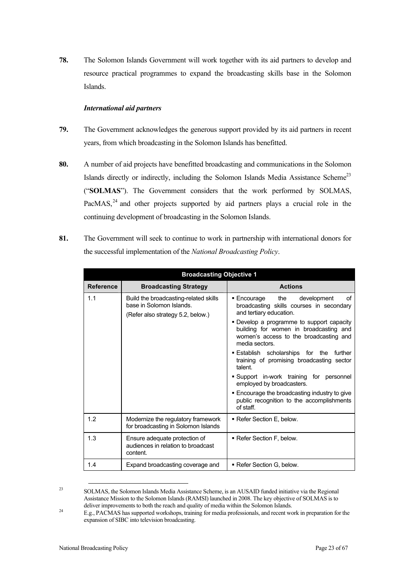**78.** The Solomon Islands Government will work together with its aid partners to develop and resource practical programmes to expand the broadcasting skills base in the Solomon Islands.

#### *International aid partners*

- **79.** The Government acknowledges the generous support provided by its aid partners in recent years, from which broadcasting in the Solomon Islands has benefitted.
- **80.** A number of aid projects have benefitted broadcasting and communications in the Solomon Islands directly or indirectly, including the Solomon Islands Media Assistance Scheme<sup>23</sup> ("**SOLMAS**"). The Government considers that the work performed by SOLMAS, PacMAS, $^{24}$  and other projects supported by aid partners plays a crucial role in the continuing development of broadcasting in the Solomon Islands.
- **81.** The Government will seek to continue to work in partnership with international donors for the successful implementation of the *National Broadcasting Policy*.

| <b>Broadcasting Objective 1</b> |                                                                                                        |                                                                                                                                                                                                                                                                                                                                                                                                                                                                                                                                                              |
|---------------------------------|--------------------------------------------------------------------------------------------------------|--------------------------------------------------------------------------------------------------------------------------------------------------------------------------------------------------------------------------------------------------------------------------------------------------------------------------------------------------------------------------------------------------------------------------------------------------------------------------------------------------------------------------------------------------------------|
| <b>Reference</b>                | <b>Broadcasting Strategy</b>                                                                           | <b>Actions</b>                                                                                                                                                                                                                                                                                                                                                                                                                                                                                                                                               |
| 1.1                             | Build the broadcasting-related skills<br>base in Solomon Islands.<br>(Refer also strategy 5.2, below.) | ■ Encourage<br>the<br>development<br>οf<br>broadcasting skills courses in secondary<br>and tertiary education.<br>• Develop a programme to support capacity<br>building for women in broadcasting and<br>women's access to the broadcasting and<br>media sectors.<br><b>Establish scholarships for the further</b><br>training of promising broadcasting sector<br>talent.<br>Support in-work training for personnel<br>employed by broadcasters.<br>. Encourage the broadcasting industry to give<br>public recognition to the accomplishments<br>of staff. |
| 1.2                             | Modernize the regulatory framework<br>for broadcasting in Solomon Islands                              | ■ Refer Section E. below.                                                                                                                                                                                                                                                                                                                                                                                                                                                                                                                                    |
| 1.3                             | Ensure adequate protection of<br>audiences in relation to broadcast<br>content.                        | ■ Refer Section F, below.                                                                                                                                                                                                                                                                                                                                                                                                                                                                                                                                    |
| 1.4                             | Expand broadcasting coverage and                                                                       | ■ Refer Section G, below.                                                                                                                                                                                                                                                                                                                                                                                                                                                                                                                                    |

<sup>23</sup> SOLMAS, the Solomon Islands Media Assistance Scheme, is an AUSAID funded initiative via the Regional Assistance Mission to the Solomon Islands (RAMSI) launched in 2008. The key objective of SOLMAS is to deliver improvements to both the reach and quality of media within the Solomon Islands.

deliver improvements to both the reach and quality of media within the Solomon Islands. 24 E.g., PACMAS has supported workshops, training for media professionals, and recent work in preparation for the expansion of SIBC into television broadcasting.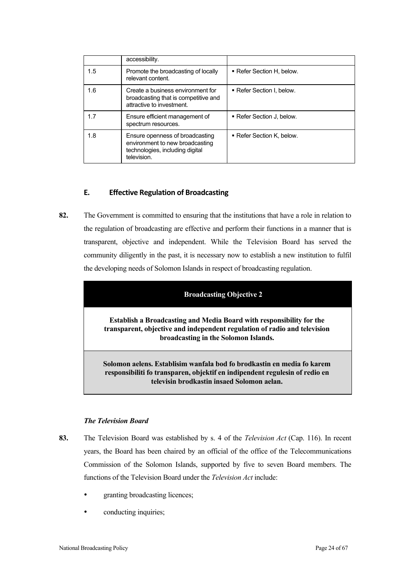|     | accessibility.                                                                                                       |                           |
|-----|----------------------------------------------------------------------------------------------------------------------|---------------------------|
| 1.5 | Promote the broadcasting of locally<br>relevant content.                                                             | ■ Refer Section H, below. |
| 1.6 | Create a business environment for<br>broadcasting that is competitive and<br>attractive to investment.               | Refer Section I, below.   |
| 1.7 | Ensure efficient management of<br>spectrum resources.                                                                | ■ Refer Section J. below. |
| 1.8 | Ensure openness of broadcasting<br>environment to new broadcasting<br>technologies, including digital<br>television. | ■ Refer Section K. below. |

# **E. Effective Regulation of Broadcasting**

**82.** The Government is committed to ensuring that the institutions that have a role in relation to the regulation of broadcasting are effective and perform their functions in a manner that is transparent, objective and independent. While the Television Board has served the community diligently in the past, it is necessary now to establish a new institution to fulfil the developing needs of Solomon Islands in respect of broadcasting regulation.

| <b>Broadcasting Objective 2</b>                                                                                                                                                                     |
|-----------------------------------------------------------------------------------------------------------------------------------------------------------------------------------------------------|
| <b>Establish a Broadcasting and Media Board with responsibility for the</b><br>transparent, objective and independent regulation of radio and television<br>broadcasting in the Solomon Islands.    |
| Solomon aelens. Establisim wanfala bod fo brodkastin en media fo karem<br>responsibiliti fo transparen, objektif en indipendent regulesin of redio en<br>televisin brodkastin insaed Solomon aelan. |

#### *The Television Board*

- **83.** The Television Board was established by s. 4 of the *Television Act* (Cap. 116). In recent years, the Board has been chaired by an official of the office of the Telecommunications Commission of the Solomon Islands, supported by five to seven Board members. The functions of the Television Board under the *Television Act* include:
	- granting broadcasting licences;
	- conducting inquiries;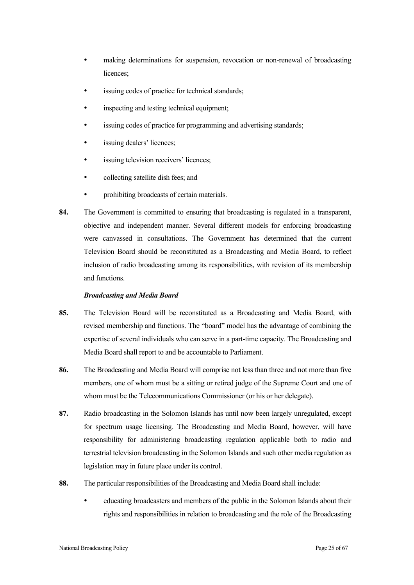- making determinations for suspension, revocation or non-renewal of broadcasting licences;
- issuing codes of practice for technical standards;
- inspecting and testing technical equipment;
- issuing codes of practice for programming and advertising standards;
- issuing dealers' licences;
- issuing television receivers' licences;
- collecting satellite dish fees; and
- prohibiting broadcasts of certain materials.
- **84.** The Government is committed to ensuring that broadcasting is regulated in a transparent, objective and independent manner. Several different models for enforcing broadcasting were canvassed in consultations. The Government has determined that the current Television Board should be reconstituted as a Broadcasting and Media Board, to reflect inclusion of radio broadcasting among its responsibilities, with revision of its membership and functions.

#### *Broadcasting and Media Board*

- **85.** The Television Board will be reconstituted as a Broadcasting and Media Board, with revised membership and functions. The "board" model has the advantage of combining the expertise of several individuals who can serve in a part-time capacity. The Broadcasting and Media Board shall report to and be accountable to Parliament.
- **86.** The Broadcasting and Media Board will comprise not less than three and not more than five members, one of whom must be a sitting or retired judge of the Supreme Court and one of whom must be the Telecommunications Commissioner (or his or her delegate).
- **87.** Radio broadcasting in the Solomon Islands has until now been largely unregulated, except for spectrum usage licensing. The Broadcasting and Media Board, however, will have responsibility for administering broadcasting regulation applicable both to radio and terrestrial television broadcasting in the Solomon Islands and such other media regulation as legislation may in future place under its control.
- **88.** The particular responsibilities of the Broadcasting and Media Board shall include:
	- educating broadcasters and members of the public in the Solomon Islands about their rights and responsibilities in relation to broadcasting and the role of the Broadcasting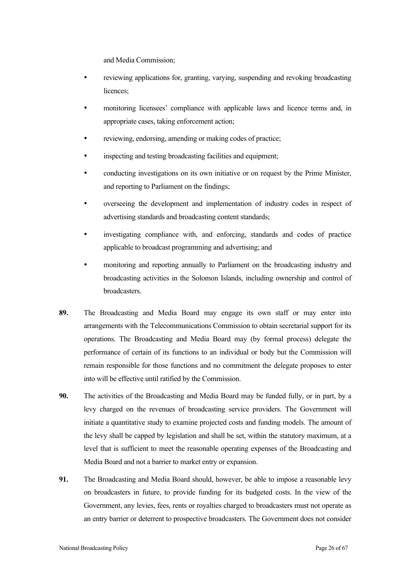and Media Commission;

- reviewing applications for, granting, varying, suspending and revoking broadcasting licences;
- monitoring licensees' compliance with applicable laws and licence terms and, in appropriate cases, taking enforcement action;
- reviewing, endorsing, amending or making codes of practice;
- inspecting and testing broadcasting facilities and equipment;
- conducting investigations on its own initiative or on request by the Prime Minister, and reporting to Parliament on the findings;
- overseeing the development and implementation of industry codes in respect of advertising standards and broadcasting content standards;
- investigating compliance with, and enforcing, standards and codes of practice applicable to broadcast programming and advertising; and
- monitoring and reporting annually to Parliament on the broadcasting industry and broadcasting activities in the Solomon Islands, including ownership and control of broadcasters.
- **89.** The Broadcasting and Media Board may engage its own staff or may enter into arrangements with the Telecommunications Commission to obtain secretarial support for its operations. The Broadcasting and Media Board may (by formal process) delegate the performance of certain of its functions to an individual or body but the Commission will remain responsible for those functions and no commitment the delegate proposes to enter into will be effective until ratified by the Commission.
- **90.** The activities of the Broadcasting and Media Board may be funded fully, or in part, by a levy charged on the revenues of broadcasting service providers. The Government will initiate a quantitative study to examine projected costs and funding models. The amount of the levy shall be capped by legislation and shall be set, within the statutory maximum, at a level that is sufficient to meet the reasonable operating expenses of the Broadcasting and Media Board and not a barrier to market entry or expansion.
- **91.** The Broadcasting and Media Board should, however, be able to impose a reasonable levy on broadcasters in future, to provide funding for its budgeted costs. In the view of the Government, any levies, fees, rents or royalties charged to broadcasters must not operate as an entry barrier or deterrent to prospective broadcasters. The Government does not consider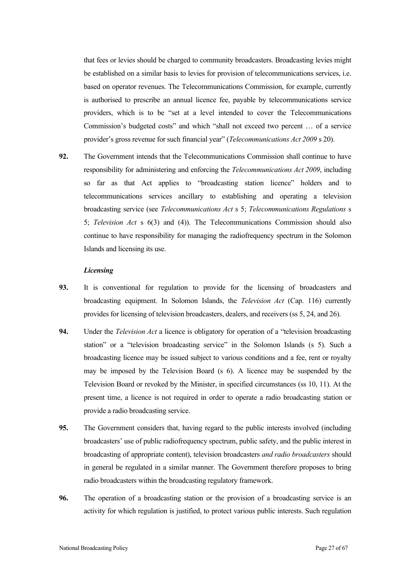that fees or levies should be charged to community broadcasters. Broadcasting levies might be established on a similar basis to levies for provision of telecommunications services, i.e. based on operator revenues. The Telecommunications Commission, for example, currently is authorised to prescribe an annual licence fee, payable by telecommunications service providers, which is to be "set at a level intended to cover the Telecommunications Commission's budgeted costs" and which "shall not exceed two percent … of a service provider's gross revenue for such financial year" (*Telecommunications Act 2009* s 20).

**92.** The Government intends that the Telecommunications Commission shall continue to have responsibility for administering and enforcing the *Telecommunications Act 2009*, including so far as that Act applies to "broadcasting station licence" holders and to telecommunications services ancillary to establishing and operating a television broadcasting service (see *Telecommunications Act* s 5; *Telecommunications Regulations* s 5; *Television Act* s 6(3) and (4)). The Telecommunications Commission should also continue to have responsibility for managing the radiofrequency spectrum in the Solomon Islands and licensing its use.

#### *Licensing*

- **93.** It is conventional for regulation to provide for the licensing of broadcasters and broadcasting equipment. In Solomon Islands, the *Television Act* (Cap. 116) currently provides for licensing of television broadcasters, dealers, and receivers (ss 5, 24, and 26).
- **94.** Under the *Television Act* a licence is obligatory for operation of a "television broadcasting station" or a "television broadcasting service" in the Solomon Islands (s 5). Such a broadcasting licence may be issued subject to various conditions and a fee, rent or royalty may be imposed by the Television Board (s 6). A licence may be suspended by the Television Board or revoked by the Minister, in specified circumstances (ss 10, 11). At the present time, a licence is not required in order to operate a radio broadcasting station or provide a radio broadcasting service.
- **95.** The Government considers that, having regard to the public interests involved (including broadcasters' use of public radiofrequency spectrum, public safety, and the public interest in broadcasting of appropriate content), television broadcasters *and radio broadcasters* should in general be regulated in a similar manner. The Government therefore proposes to bring radio broadcasters within the broadcasting regulatory framework.
- **96.** The operation of a broadcasting station or the provision of a broadcasting service is an activity for which regulation is justified, to protect various public interests. Such regulation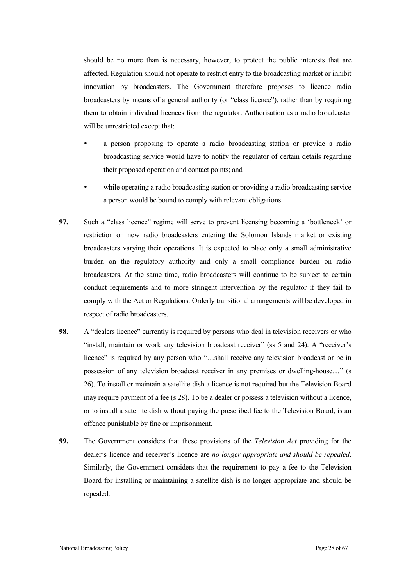should be no more than is necessary, however, to protect the public interests that are affected. Regulation should not operate to restrict entry to the broadcasting market or inhibit innovation by broadcasters. The Government therefore proposes to licence radio broadcasters by means of a general authority (or "class licence"), rather than by requiring them to obtain individual licences from the regulator. Authorisation as a radio broadcaster will be unrestricted except that:

- a person proposing to operate a radio broadcasting station or provide a radio broadcasting service would have to notify the regulator of certain details regarding their proposed operation and contact points; and
- while operating a radio broadcasting station or providing a radio broadcasting service a person would be bound to comply with relevant obligations.
- **97.** Such a "class licence" regime will serve to prevent licensing becoming a 'bottleneck' or restriction on new radio broadcasters entering the Solomon Islands market or existing broadcasters varying their operations. It is expected to place only a small administrative burden on the regulatory authority and only a small compliance burden on radio broadcasters. At the same time, radio broadcasters will continue to be subject to certain conduct requirements and to more stringent intervention by the regulator if they fail to comply with the Act or Regulations. Orderly transitional arrangements will be developed in respect of radio broadcasters.
- **98.** A "dealers licence" currently is required by persons who deal in television receivers or who "install, maintain or work any television broadcast receiver" (ss 5 and 24). A "receiver's licence" is required by any person who "...shall receive any television broadcast or be in possession of any television broadcast receiver in any premises or dwelling-house…" (s 26). To install or maintain a satellite dish a licence is not required but the Television Board may require payment of a fee (s 28). To be a dealer or possess a television without a licence, or to install a satellite dish without paying the prescribed fee to the Television Board, is an offence punishable by fine or imprisonment.
- **99.** The Government considers that these provisions of the *Television Act* providing for the dealer's licence and receiver's licence are *no longer appropriate and should be repealed*. Similarly, the Government considers that the requirement to pay a fee to the Television Board for installing or maintaining a satellite dish is no longer appropriate and should be repealed.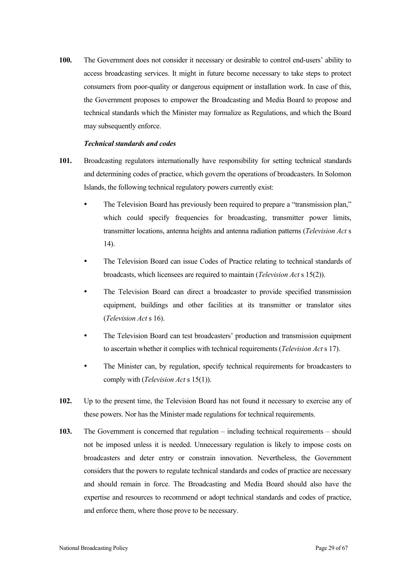**100.** The Government does not consider it necessary or desirable to control end-users' ability to access broadcasting services. It might in future become necessary to take steps to protect consumers from poor-quality or dangerous equipment or installation work. In case of this, the Government proposes to empower the Broadcasting and Media Board to propose and technical standards which the Minister may formalize as Regulations, and which the Board may subsequently enforce.

#### *Technical standards and codes*

- **101.** Broadcasting regulators internationally have responsibility for setting technical standards and determining codes of practice, which govern the operations of broadcasters. In Solomon Islands, the following technical regulatory powers currently exist:
	- The Television Board has previously been required to prepare a "transmission plan," which could specify frequencies for broadcasting, transmitter power limits, transmitter locations, antenna heights and antenna radiation patterns (*Television Act* s 14).
	- The Television Board can issue Codes of Practice relating to technical standards of broadcasts, which licensees are required to maintain (*Television Act* s 15(2)).
	- The Television Board can direct a broadcaster to provide specified transmission equipment, buildings and other facilities at its transmitter or translator sites (*Television Act* s 16).
	- The Television Board can test broadcasters' production and transmission equipment to ascertain whether it complies with technical requirements (*Television Act* s 17).
	- The Minister can, by regulation, specify technical requirements for broadcasters to comply with (*Television Act* s 15(1)).
- **102.** Up to the present time, the Television Board has not found it necessary to exercise any of these powers. Nor has the Minister made regulations for technical requirements.
- **103.** The Government is concerned that regulation including technical requirements should not be imposed unless it is needed. Unnecessary regulation is likely to impose costs on broadcasters and deter entry or constrain innovation. Nevertheless, the Government considers that the powers to regulate technical standards and codes of practice are necessary and should remain in force. The Broadcasting and Media Board should also have the expertise and resources to recommend or adopt technical standards and codes of practice, and enforce them, where those prove to be necessary.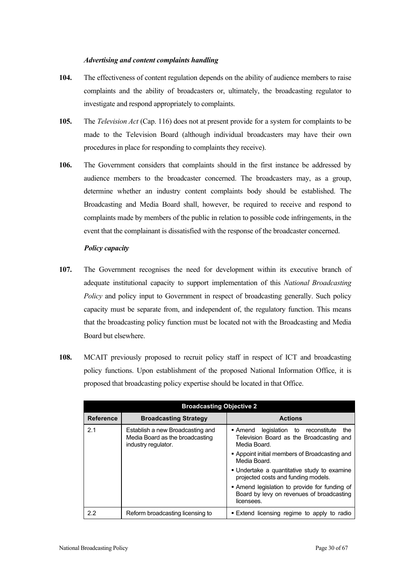#### *Advertising and content complaints handling*

- **104.** The effectiveness of content regulation depends on the ability of audience members to raise complaints and the ability of broadcasters or, ultimately, the broadcasting regulator to investigate and respond appropriately to complaints.
- **105.** The *Television Act* (Cap. 116) does not at present provide for a system for complaints to be made to the Television Board (although individual broadcasters may have their own procedures in place for responding to complaints they receive).
- **106.** The Government considers that complaints should in the first instance be addressed by audience members to the broadcaster concerned. The broadcasters may, as a group, determine whether an industry content complaints body should be established. The Broadcasting and Media Board shall, however, be required to receive and respond to complaints made by members of the public in relation to possible code infringements, in the event that the complainant is dissatisfied with the response of the broadcaster concerned.

#### *Policy capacity*

- **107.** The Government recognises the need for development within its executive branch of adequate institutional capacity to support implementation of this *National Broadcasting Policy* and policy input to Government in respect of broadcasting generally. Such policy capacity must be separate from, and independent of, the regulatory function. This means that the broadcasting policy function must be located not with the Broadcasting and Media Board but elsewhere.
- **108.** MCAIT previously proposed to recruit policy staff in respect of ICT and broadcasting policy functions. Upon establishment of the proposed National Information Office, it is proposed that broadcasting policy expertise should be located in that Office.

| <b>Broadcasting Objective 2</b> |                                                                                            |                                                                                                          |
|---------------------------------|--------------------------------------------------------------------------------------------|----------------------------------------------------------------------------------------------------------|
| <b>Reference</b>                | <b>Broadcasting Strategy</b>                                                               | <b>Actions</b>                                                                                           |
| 2.1                             | Establish a new Broadcasting and<br>Media Board as the broadcasting<br>industry regulator. | Amend legislation to reconstitute<br>the<br>Television Board as the Broadcasting and<br>Media Board.     |
|                                 |                                                                                            | • Appoint initial members of Broadcasting and<br>Media Board.                                            |
|                                 |                                                                                            | . Undertake a quantitative study to examine<br>projected costs and funding models.                       |
|                                 |                                                                                            | • Amend legislation to provide for funding of<br>Board by levy on revenues of broadcasting<br>licensees. |
| 2.2                             | Reform broadcasting licensing to                                                           | . Extend licensing regime to apply to radio                                                              |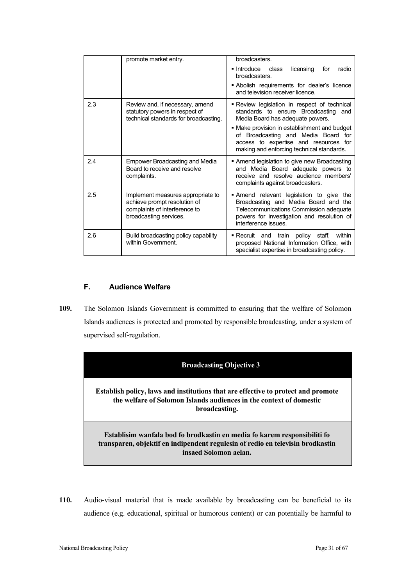|     | promote market entry.                                                                                                        | broadcasters.                                                                                                                                                                                  |
|-----|------------------------------------------------------------------------------------------------------------------------------|------------------------------------------------------------------------------------------------------------------------------------------------------------------------------------------------|
|     |                                                                                                                              | Introduce class<br>licensing<br>radio<br>for<br>broadcasters.                                                                                                                                  |
|     |                                                                                                                              | • Abolish requirements for dealer's licence<br>and television receiver licence.                                                                                                                |
| 2.3 | Review and, if necessary, amend<br>statutory powers in respect of<br>technical standards for broadcasting.                   | - Review legislation in respect of technical<br>standards to ensure Broadcasting and<br>Media Board has adequate powers.                                                                       |
|     |                                                                                                                              | • Make provision in establishment and budget<br>of Broadcasting and Media Board for<br>access to expertise and resources for<br>making and enforcing technical standards.                      |
| 2.4 | <b>Empower Broadcasting and Media</b><br>Board to receive and resolve<br>complaints.                                         | Amend legislation to give new Broadcasting<br>and Media Board adequate powers to<br>receive and resolve audience members'<br>complaints against broadcasters.                                  |
| 2.5 | Implement measures appropriate to<br>achieve prompt resolution of<br>complaints of interference to<br>broadcasting services. | Amend relevant legislation to give the<br>Broadcasting and Media Board and the<br>Telecommunications Commission adequate<br>powers for investigation and resolution of<br>interference issues. |
| 2.6 | Build broadcasting policy capability<br>within Government.                                                                   | • Recruit and train policy staff,<br>within<br>proposed National Information Office, with<br>specialist expertise in broadcasting policy.                                                      |

# **F. Audience Welfare**

**109.** The Solomon Islands Government is committed to ensuring that the welfare of Solomon Islands audiences is protected and promoted by responsible broadcasting, under a system of supervised self-regulation.



**Establish policy, laws and institutions that are effective to protect and promote the welfare of Solomon Islands audiences in the context of domestic broadcasting.** 

**Establisim wanfala bod fo brodkastin en media fo karem responsibiliti fo transparen, objektif en indipendent regulesin of redio en televisin brodkastin insaed Solomon aelan.**

**110.** Audio-visual material that is made available by broadcasting can be beneficial to its audience (e.g. educational, spiritual or humorous content) or can potentially be harmful to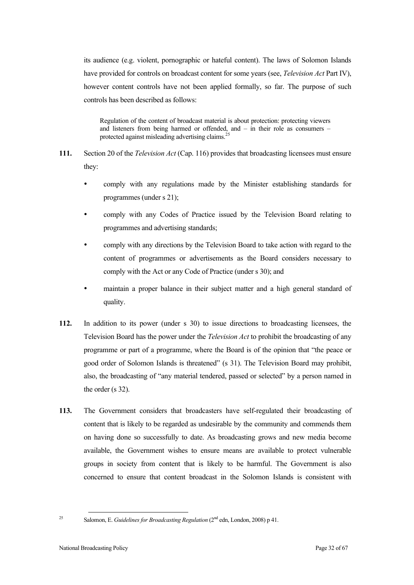its audience (e.g. violent, pornographic or hateful content). The laws of Solomon Islands have provided for controls on broadcast content for some years (see, *Television Act* Part IV), however content controls have not been applied formally, so far. The purpose of such controls has been described as follows:

Regulation of the content of broadcast material is about protection: protecting viewers and listeners from being harmed or offended, and – in their role as consumers – protected against misleading advertising claims.<sup>25</sup>

- **111.** Section 20 of the *Television Act* (Cap. 116) provides that broadcasting licensees must ensure they:
	- comply with any regulations made by the Minister establishing standards for programmes (under s 21);
	- comply with any Codes of Practice issued by the Television Board relating to programmes and advertising standards;
	- comply with any directions by the Television Board to take action with regard to the content of programmes or advertisements as the Board considers necessary to comply with the Act or any Code of Practice (under s 30); and
	- maintain a proper balance in their subject matter and a high general standard of quality.
- **112.** In addition to its power (under s 30) to issue directions to broadcasting licensees, the Television Board has the power under the *Television Act* to prohibit the broadcasting of any programme or part of a programme, where the Board is of the opinion that "the peace or good order of Solomon Islands is threatened" (s 31). The Television Board may prohibit, also, the broadcasting of "any material tendered, passed or selected" by a person named in the order (s 32).
- **113.** The Government considers that broadcasters have self-regulated their broadcasting of content that is likely to be regarded as undesirable by the community and commends them on having done so successfully to date. As broadcasting grows and new media become available, the Government wishes to ensure means are available to protect vulnerable groups in society from content that is likely to be harmful. The Government is also concerned to ensure that content broadcast in the Solomon Islands is consistent with

<sup>25</sup> Salomon, E. *Guidelines for Broadcasting Regulation* (2nd edn, London, 2008) p 41.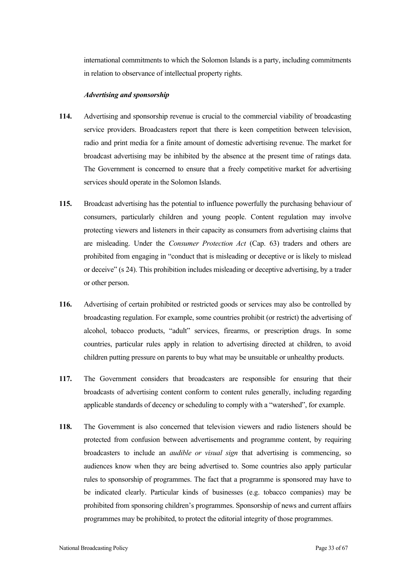international commitments to which the Solomon Islands is a party, including commitments in relation to observance of intellectual property rights.

#### *Advertising and sponsorship*

- **114.** Advertising and sponsorship revenue is crucial to the commercial viability of broadcasting service providers. Broadcasters report that there is keen competition between television, radio and print media for a finite amount of domestic advertising revenue. The market for broadcast advertising may be inhibited by the absence at the present time of ratings data. The Government is concerned to ensure that a freely competitive market for advertising services should operate in the Solomon Islands.
- **115.** Broadcast advertising has the potential to influence powerfully the purchasing behaviour of consumers, particularly children and young people. Content regulation may involve protecting viewers and listeners in their capacity as consumers from advertising claims that are misleading. Under the *Consumer Protection Act* (Cap. 63) traders and others are prohibited from engaging in "conduct that is misleading or deceptive or is likely to mislead or deceive" (s 24). This prohibition includes misleading or deceptive advertising, by a trader or other person.
- **116.** Advertising of certain prohibited or restricted goods or services may also be controlled by broadcasting regulation. For example, some countries prohibit (or restrict) the advertising of alcohol, tobacco products, "adult" services, firearms, or prescription drugs. In some countries, particular rules apply in relation to advertising directed at children, to avoid children putting pressure on parents to buy what may be unsuitable or unhealthy products.
- **117.** The Government considers that broadcasters are responsible for ensuring that their broadcasts of advertising content conform to content rules generally, including regarding applicable standards of decency or scheduling to comply with a "watershed", for example.
- **118.** The Government is also concerned that television viewers and radio listeners should be protected from confusion between advertisements and programme content, by requiring broadcasters to include an *audible or visual sign* that advertising is commencing, so audiences know when they are being advertised to. Some countries also apply particular rules to sponsorship of programmes. The fact that a programme is sponsored may have to be indicated clearly. Particular kinds of businesses (e.g. tobacco companies) may be prohibited from sponsoring children's programmes. Sponsorship of news and current affairs programmes may be prohibited, to protect the editorial integrity of those programmes.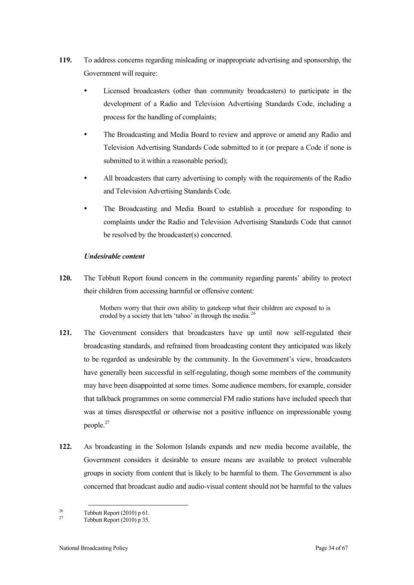- **119.** To address concerns regarding misleading or inappropriate advertising and sponsorship, the Government will require:
	- Licensed broadcasters (other than community broadcasters) to participate in the development of a Radio and Television Advertising Standards Code, including a process for the handling of complaints;
	- The Broadcasting and Media Board to review and approve or amend any Radio and Television Advertising Standards Code submitted to it (or prepare a Code if none is submitted to it within a reasonable period);
	- All broadcasters that carry advertising to comply with the requirements of the Radio and Television Advertising Standards Code.
	- The Broadcasting and Media Board to establish a procedure for responding to complaints under the Radio and Television Advertising Standards Code that cannot be resolved by the broadcaster(s) concerned.

### *Undesirable content*

**120.** The Tebbutt Report found concern in the community regarding parents' ability to protect their children from accessing harmful or offensive content:

> Mothers worry that their own ability to gatekeep what their children are exposed to is eroded by a society that lets 'taboo' in through the media.<sup>26</sup>

- **121.** The Government considers that broadcasters have up until now self-regulated their broadcasting standards, and refrained from broadcasting content they anticipated was likely to be regarded as undesirable by the community. In the Government's view, broadcasters have generally been successful in self-regulating, though some members of the community may have been disappointed at some times. Some audience members, for example, consider that talkback programmes on some commercial FM radio stations have included speech that was at times disrespectful or otherwise not a positive influence on impressionable young people.27
- **122.** As broadcasting in the Solomon Islands expands and new media become available, the Government considers it desirable to ensure means are available to protect vulnerable groups in society from content that is likely to be harmful to them. The Government is also concerned that broadcast audio and audio-visual content should not be harmful to the values

<sup>&</sup>lt;sup>26</sup> Tebbutt Report (2010) p 61.<br>
Tebbutt Report (2010) p 35.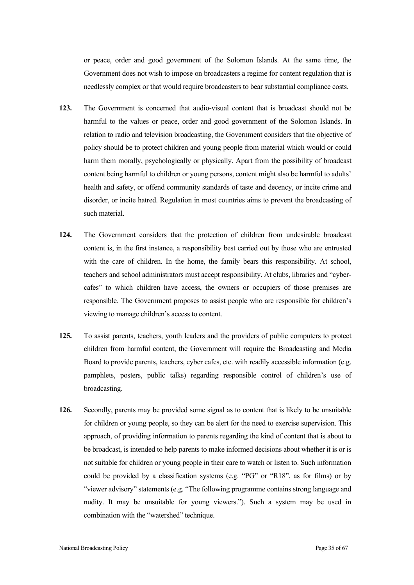or peace, order and good government of the Solomon Islands. At the same time, the Government does not wish to impose on broadcasters a regime for content regulation that is needlessly complex or that would require broadcasters to bear substantial compliance costs.

- **123.** The Government is concerned that audio-visual content that is broadcast should not be harmful to the values or peace, order and good government of the Solomon Islands. In relation to radio and television broadcasting, the Government considers that the objective of policy should be to protect children and young people from material which would or could harm them morally, psychologically or physically. Apart from the possibility of broadcast content being harmful to children or young persons, content might also be harmful to adults' health and safety, or offend community standards of taste and decency, or incite crime and disorder, or incite hatred. Regulation in most countries aims to prevent the broadcasting of such material.
- **124.** The Government considers that the protection of children from undesirable broadcast content is, in the first instance, a responsibility best carried out by those who are entrusted with the care of children. In the home, the family bears this responsibility. At school, teachers and school administrators must accept responsibility. At clubs, libraries and "cybercafes" to which children have access, the owners or occupiers of those premises are responsible. The Government proposes to assist people who are responsible for children's viewing to manage children's access to content.
- **125.** To assist parents, teachers, youth leaders and the providers of public computers to protect children from harmful content, the Government will require the Broadcasting and Media Board to provide parents, teachers, cyber cafes, etc. with readily accessible information (e.g. pamphlets, posters, public talks) regarding responsible control of children's use of broadcasting.
- **126.** Secondly, parents may be provided some signal as to content that is likely to be unsuitable for children or young people, so they can be alert for the need to exercise supervision. This approach, of providing information to parents regarding the kind of content that is about to be broadcast, is intended to help parents to make informed decisions about whether it is or is not suitable for children or young people in their care to watch or listen to. Such information could be provided by a classification systems (e.g. "PG" or "R18", as for films) or by "viewer advisory" statements (e.g. "The following programme contains strong language and nudity. It may be unsuitable for young viewers."). Such a system may be used in combination with the "watershed" technique.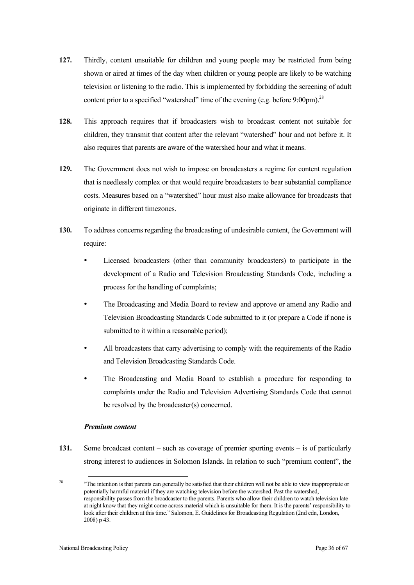- **127.** Thirdly, content unsuitable for children and young people may be restricted from being shown or aired at times of the day when children or young people are likely to be watching television or listening to the radio. This is implemented by forbidding the screening of adult content prior to a specified "watershed" time of the evening (e.g. before 9:00pm). $^{28}$
- **128.** This approach requires that if broadcasters wish to broadcast content not suitable for children, they transmit that content after the relevant "watershed" hour and not before it. It also requires that parents are aware of the watershed hour and what it means.
- **129.** The Government does not wish to impose on broadcasters a regime for content regulation that is needlessly complex or that would require broadcasters to bear substantial compliance costs. Measures based on a "watershed" hour must also make allowance for broadcasts that originate in different timezones.
- **130.** To address concerns regarding the broadcasting of undesirable content, the Government will require:
	- Licensed broadcasters (other than community broadcasters) to participate in the development of a Radio and Television Broadcasting Standards Code, including a process for the handling of complaints;
	- The Broadcasting and Media Board to review and approve or amend any Radio and Television Broadcasting Standards Code submitted to it (or prepare a Code if none is submitted to it within a reasonable period);
	- All broadcasters that carry advertising to comply with the requirements of the Radio and Television Broadcasting Standards Code.
	- The Broadcasting and Media Board to establish a procedure for responding to complaints under the Radio and Television Advertising Standards Code that cannot be resolved by the broadcaster(s) concerned.

### *Premium content*

**131.** Some broadcast content – such as coverage of premier sporting events – is of particularly strong interest to audiences in Solomon Islands. In relation to such "premium content", the

<sup>&</sup>lt;sup>28</sup> "The intention is that parents can generally be satisfied that their children will not be able to view inappropriate or potentially harmful material if they are watching television before the watershed. Past the watershed, responsibility passes from the broadcaster to the parents. Parents who allow their children to watch television late at night know that they might come across material which is unsuitable for them. It is the parents' responsibility to look after their children at this time." Salomon, E. Guidelines for Broadcasting Regulation (2nd edn, London, 2008) p 43.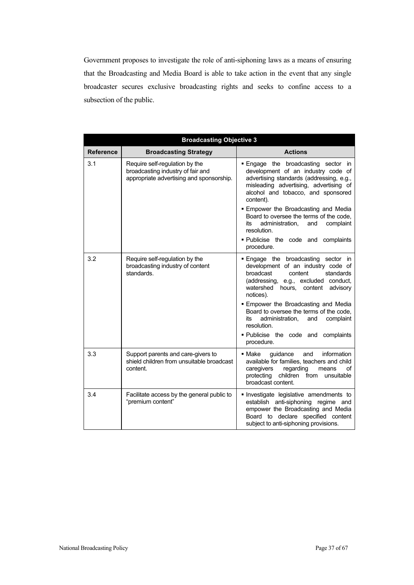Government proposes to investigate the role of anti-siphoning laws as a means of ensuring that the Broadcasting and Media Board is able to take action in the event that any single broadcaster secures exclusive broadcasting rights and seeks to confine access to a subsection of the public.

| <b>Broadcasting Objective 3</b> |                                                                                                                 |                                                                                                                                                                                                                     |
|---------------------------------|-----------------------------------------------------------------------------------------------------------------|---------------------------------------------------------------------------------------------------------------------------------------------------------------------------------------------------------------------|
| <b>Reference</b>                | <b>Broadcasting Strategy</b>                                                                                    | <b>Actions</b>                                                                                                                                                                                                      |
| 3.1                             | Require self-regulation by the<br>broadcasting industry of fair and<br>appropriate advertising and sponsorship. | Engage the broadcasting sector in<br>development of an industry code of<br>advertising standards (addressing, e.g.,<br>misleading advertising, advertising of<br>alcohol and tobacco, and sponsored<br>content).    |
|                                 |                                                                                                                 | <b>Empower the Broadcasting and Media</b><br>Board to oversee the terms of the code,<br>its<br>administration,<br>complaint<br>and<br>resolution.                                                                   |
|                                 |                                                                                                                 | . Publicise the code and complaints<br>procedure.                                                                                                                                                                   |
| 3.2                             | Require self-regulation by the<br>broadcasting industry of content<br>standards.                                | . Engage the broadcasting sector in<br>development of an industry code of<br>broadcast<br>content<br>standards<br>(addressing, e.g., excluded conduct,<br>watershed hours, content<br>advisory<br>notices).         |
|                                 |                                                                                                                 | <b>Empower the Broadcasting and Media</b><br>Board to oversee the terms of the code,<br>administration.<br>complaint<br>its<br>and<br>resolution.<br>. Publicise the code and complaints                            |
|                                 |                                                                                                                 | procedure.                                                                                                                                                                                                          |
| 3.3                             | Support parents and care-givers to<br>shield children from unsuitable broadcast<br>content.                     | guidance<br>information<br>$\blacksquare$ Make<br>and<br>available for families, teachers and child<br>caregivers<br>regarding<br>means<br>of<br>protecting<br>children<br>from<br>unsuitable<br>broadcast content. |
| 3.4                             | Facilitate access by the general public to<br>"premium content"                                                 | Investigate legislative amendments to<br>establish anti-siphoning regime and<br>empower the Broadcasting and Media<br>Board to declare specified content<br>subject to anti-siphoning provisions.                   |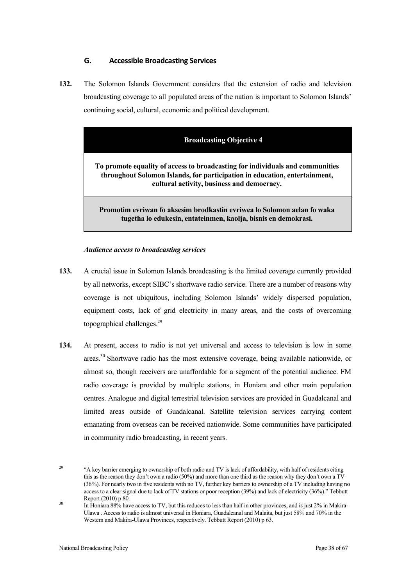# **G. Accessible Broadcasting Services**

**132.** The Solomon Islands Government considers that the extension of radio and television broadcasting coverage to all populated areas of the nation is important to Solomon Islands' continuing social, cultural, economic and political development.

# **Broadcasting Objective 4**

**To promote equality of access to broadcasting for individuals and communities throughout Solomon Islands, for participation in education, entertainment, cultural activity, business and democracy.**

**Promotim evriwan fo aksesim brodkastin evriwea lo Solomon aelan fo waka tugetha lo edukesin, entateinmen, kaolja, bisnis en demokrasi.**

#### *Audience access to broadcasting services*

- **133.** A crucial issue in Solomon Islands broadcasting is the limited coverage currently provided by all networks, except SIBC's shortwave radio service. There are a number of reasons why coverage is not ubiquitous, including Solomon Islands' widely dispersed population, equipment costs, lack of grid electricity in many areas, and the costs of overcoming topographical challenges. 29
- **134.** At present, access to radio is not yet universal and access to television is low in some areas.<sup>30</sup> Shortwave radio has the most extensive coverage, being available nationwide, or almost so, though receivers are unaffordable for a segment of the potential audience. FM radio coverage is provided by multiple stations, in Honiara and other main population centres. Analogue and digital terrestrial television services are provided in Guadalcanal and limited areas outside of Guadalcanal. Satellite television services carrying content emanating from overseas can be received nationwide. Some communities have participated in community radio broadcasting, in recent years.

<sup>&</sup>lt;sup>29</sup> "A key barrier emerging to ownership of both radio and TV is lack of affordability, with half of residents citing this as the reason they don't own a radio (50%) and more than one third as the reason why they don't own a TV (36%). For nearly two in five residents with no TV, further key barriers to ownership of a TV including having no access to a clear signal due to lack of TV stations or poor reception (39%) and lack of electricity (36%)." Tebbutt

Report (2010) p 80.<br>In Honiara 88% have access to TV, but this reduces to less than half in other provinces, and is just 2% in Makira-Ulawa . Access to radio is almost universal in Honiara, Guadalcanal and Malaita, but just 58% and 70% in the Western and Makira-Ulawa Provinces, respectively. Tebbutt Report (2010) p 63.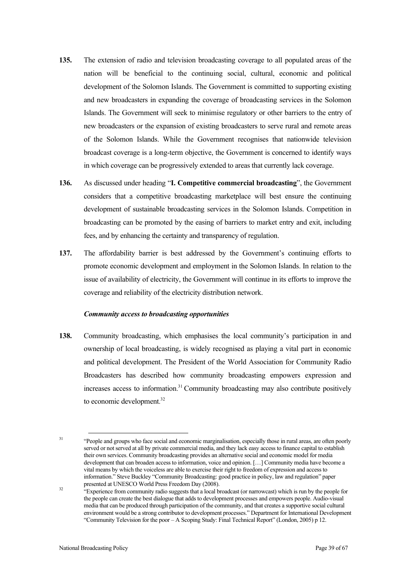- **135.** The extension of radio and television broadcasting coverage to all populated areas of the nation will be beneficial to the continuing social, cultural, economic and political development of the Solomon Islands. The Government is committed to supporting existing and new broadcasters in expanding the coverage of broadcasting services in the Solomon Islands. The Government will seek to minimise regulatory or other barriers to the entry of new broadcasters or the expansion of existing broadcasters to serve rural and remote areas of the Solomon Islands. While the Government recognises that nationwide television broadcast coverage is a long-term objective, the Government is concerned to identify ways in which coverage can be progressively extended to areas that currently lack coverage.
- **136.** As discussed under heading "**I. Competitive commercial broadcasting**", the Government considers that a competitive broadcasting marketplace will best ensure the continuing development of sustainable broadcasting services in the Solomon Islands. Competition in broadcasting can be promoted by the easing of barriers to market entry and exit, including fees, and by enhancing the certainty and transparency of regulation.
- **137.** The affordability barrier is best addressed by the Government's continuing efforts to promote economic development and employment in the Solomon Islands. In relation to the issue of availability of electricity, the Government will continue in its efforts to improve the coverage and reliability of the electricity distribution network.

#### *Community access to broadcasting opportunities*

**138.** Community broadcasting, which emphasises the local community's participation in and ownership of local broadcasting, is widely recognised as playing a vital part in economic and political development. The President of the World Association for Community Radio Broadcasters has described how community broadcasting empowers expression and increases access to information. <sup>31</sup> Community broadcasting may also contribute positively to economic development.<sup>32</sup>

<sup>&</sup>lt;sup>31</sup> "People and groups who face social and economic marginalisation, especially those in rural areas, are often poorly served or not served at all by private commercial media, and they lack easy access to finance capital to establish their own services. Community broadcasting provides an alternative social and economic model for media development that can broaden access to information, voice and opinion. […] Community media have become a vital means by which the voiceless are able to exercise their right to freedom of expression and access to information." Steve Buckley "Community Broadcasting: good practice in policy, law and regulation" paper

 $\frac{32}{2}$  "Experience from community radio suggests that a local broadcast (or narrowcast) which is run by the people for the people can create the best dialogue that adds to development processes and empowers people. Audio-visual media that can be produced through participation of the community, and that creates a supportive social cultural environment would be a strong contributor to development processes." Department for International Development "Community Television for the poor – A Scoping Study: Final Technical Report" (London, 2005) p 12.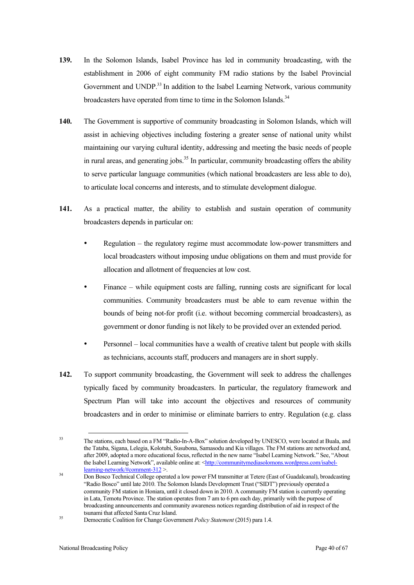- **139.** In the Solomon Islands, Isabel Province has led in community broadcasting, with the establishment in 2006 of eight community FM radio stations by the Isabel Provincial Government and UNDP.<sup>33</sup> In addition to the Isabel Learning Network, various community broadcasters have operated from time to time in the Solomon Islands.<sup>34</sup>
- **140.** The Government is supportive of community broadcasting in Solomon Islands, which will assist in achieving objectives including fostering a greater sense of national unity whilst maintaining our varying cultural identity, addressing and meeting the basic needs of people in rural areas, and generating jobs.<sup>35</sup> In particular, community broadcasting offers the ability to serve particular language communities (which national broadcasters are less able to do), to articulate local concerns and interests, and to stimulate development dialogue.
- **141.** As a practical matter, the ability to establish and sustain operation of community broadcasters depends in particular on:
	- Regulation the regulatory regime must accommodate low-power transmitters and local broadcasters without imposing undue obligations on them and must provide for allocation and allotment of frequencies at low cost.
	- Finance while equipment costs are falling, running costs are significant for local communities. Community broadcasters must be able to earn revenue within the bounds of being not-for profit (i.e. without becoming commercial broadcasters), as government or donor funding is not likely to be provided over an extended period.
	- Personnel local communities have a wealth of creative talent but people with skills as technicians, accounts staff, producers and managers are in short supply.
- **142.** To support community broadcasting, the Government will seek to address the challenges typically faced by community broadcasters. In particular, the regulatory framework and Spectrum Plan will take into account the objectives and resources of community broadcasters and in order to minimise or eliminate barriers to entry. Regulation (e.g. class

<sup>1</sup> <sup>33</sup> The stations, each based on a FM "Radio-In-A-Box" solution developed by UNESCO, were located at Buala, and the Tataba, Sigana, Lelegia, Kolotubi, Susubona, Samasodu and Kia villages. The FM stations are networked and, after 2009, adopted a more educational focus, reflected in the new name "Isabel Learning Network." See, "About the Isabel Learning Network", available online at: <http://communitymediasolomons.wordpress.com/isabel-

learning-network/#comment-312 >. 34 Don Bosco Technical College operated a low power FM transmitter at Tetere (East of Guadalcanal), broadcasting "Radio Bosco" until late 2010. The Solomon Islands Development Trust ("SIDT") previously operated a community FM station in Honiara, until it closed down in 2010. A community FM station is currently operating in Lata, Temotu Province. The station operates from 7 am to 6 pm each day, primarily with the purpose of broadcasting announcements and community awareness notices regarding distribution of aid in respect of the

<sup>&</sup>lt;sup>35</sup> Democratic Coalition for Change Government *Policy Statement* (2015) para 1.4.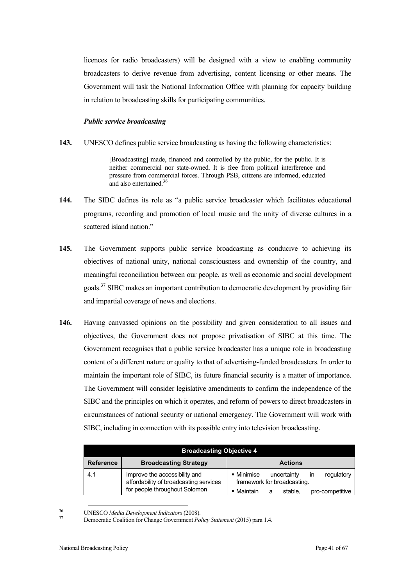licences for radio broadcasters) will be designed with a view to enabling community broadcasters to derive revenue from advertising, content licensing or other means. The Government will task the National Information Office with planning for capacity building in relation to broadcasting skills for participating communities.

#### *Public service broadcasting*

**143.** UNESCO defines public service broadcasting as having the following characteristics:

[Broadcasting] made, financed and controlled by the public, for the public. It is neither commercial nor state-owned. It is free from political interference and pressure from commercial forces. Through PSB, citizens are informed, educated and also entertained.<sup>36</sup>

- **144.** The SIBC defines its role as "a public service broadcaster which facilitates educational programs, recording and promotion of local music and the unity of diverse cultures in a scattered island nation."
- **145.** The Government supports public service broadcasting as conducive to achieving its objectives of national unity, national consciousness and ownership of the country, and meaningful reconciliation between our people, as well as economic and social development goals.<sup>37</sup> SIBC makes an important contribution to democratic development by providing fair and impartial coverage of news and elections.
- **146.** Having canvassed opinions on the possibility and given consideration to all issues and objectives, the Government does not propose privatisation of SIBC at this time. The Government recognises that a public service broadcaster has a unique role in broadcasting content of a different nature or quality to that of advertising-funded broadcasters. In order to maintain the important role of SIBC, its future financial security is a matter of importance. The Government will consider legislative amendments to confirm the independence of the SIBC and the principles on which it operates, and reform of powers to direct broadcasters in circumstances of national security or national emergency. The Government will work with SIBC, including in connection with its possible entry into television broadcasting.

| <b>Broadcasting Objective 4</b> |                                                                         |                                                                        |
|---------------------------------|-------------------------------------------------------------------------|------------------------------------------------------------------------|
| <b>Reference</b>                | <b>Broadcasting Strategy</b>                                            | <b>Actions</b>                                                         |
| 4.1                             | Improve the accessibility and<br>affordability of broadcasting services | • Minimise<br>regulatory<br>uncertainty<br>framework for broadcasting. |
|                                 | for people throughout Solomon                                           | Maintain<br>stable.<br>pro-competitive<br>a                            |

<sup>36</sup> UNESCO *Media Development Indicators* (2008). 37 Democratic Coalition for Change Government *Policy Statement* (2015) para 1.4.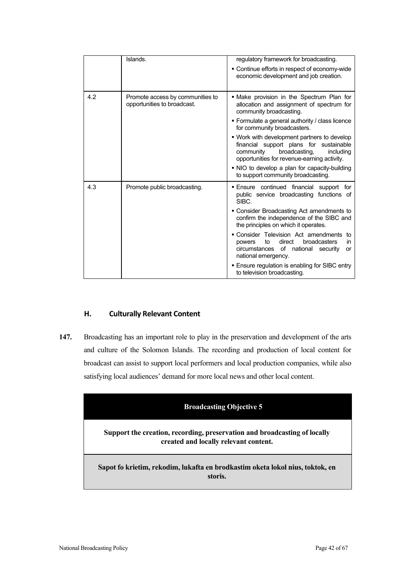|     | Islands.                                                        | regulatory framework for broadcasting.                                                                                                                                           |
|-----|-----------------------------------------------------------------|----------------------------------------------------------------------------------------------------------------------------------------------------------------------------------|
|     |                                                                 | ■ Continue efforts in respect of economy-wide<br>economic development and job creation.                                                                                          |
| 4.2 | Promote access by communities to<br>opportunities to broadcast. | . Make provision in the Spectrum Plan for<br>allocation and assignment of spectrum for<br>community broadcasting.                                                                |
|     |                                                                 | • Formulate a general authority / class licence<br>for community broadcasters.                                                                                                   |
|     |                                                                 | . Work with development partners to develop<br>financial support plans for sustainable<br>community<br>broadcasting.<br>including<br>opportunities for revenue-earning activity. |
|     |                                                                 | . NIO to develop a plan for capacity-building<br>to support community broadcasting.                                                                                              |
| 4.3 | Promote public broadcasting.                                    | Ensure continued financial support for<br>public service broadcasting functions of<br>SIBC.                                                                                      |
|     |                                                                 | • Consider Broadcasting Act amendments to<br>confirm the independence of the SIBC and<br>the principles on which it operates.                                                    |
|     |                                                                 | • Consider Television Act amendments to<br>direct<br>broadcasters<br>to<br>powers<br>in.<br>of national security<br>circumstances<br>or<br>national emergency.                   |
|     |                                                                 | ■ Ensure regulation is enabling for SIBC entry<br>to television broadcasting.                                                                                                    |

# **H. Culturally Relevant Content**

**147.** Broadcasting has an important role to play in the preservation and development of the arts and culture of the Solomon Islands. The recording and production of local content for broadcast can assist to support local performers and local production companies, while also satisfying local audiences' demand for more local news and other local content.

| <b>Broadcasting Objective 5</b>                                                                                    |
|--------------------------------------------------------------------------------------------------------------------|
| Support the creation, recording, preservation and broadcasting of locally<br>created and locally relevant content. |
| Sapot fo krietim, rekodim, lukafta en brodkastim oketa lokol nius, toktok, en<br>storis.                           |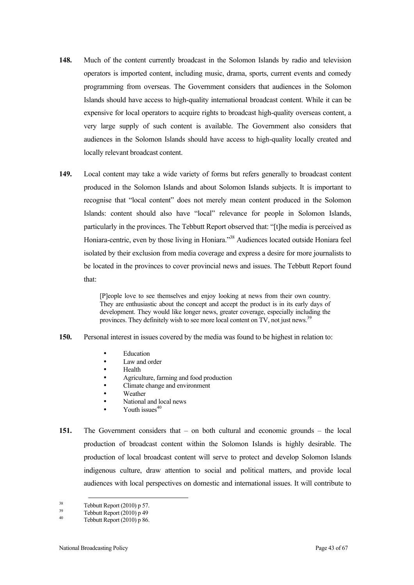- **148.** Much of the content currently broadcast in the Solomon Islands by radio and television operators is imported content, including music, drama, sports, current events and comedy programming from overseas. The Government considers that audiences in the Solomon Islands should have access to high-quality international broadcast content. While it can be expensive for local operators to acquire rights to broadcast high-quality overseas content, a very large supply of such content is available. The Government also considers that audiences in the Solomon Islands should have access to high-quality locally created and locally relevant broadcast content.
- **149.** Local content may take a wide variety of forms but refers generally to broadcast content produced in the Solomon Islands and about Solomon Islands subjects. It is important to recognise that "local content" does not merely mean content produced in the Solomon Islands: content should also have "local" relevance for people in Solomon Islands, particularly in the provinces. The Tebbutt Report observed that: "[t]he media is perceived as Honiara-centric, even by those living in Honiara."<sup>38</sup> Audiences located outside Honiara feel isolated by their exclusion from media coverage and express a desire for more journalists to be located in the provinces to cover provincial news and issues. The Tebbutt Report found that:

[P]eople love to see themselves and enjoy looking at news from their own country. They are enthusiastic about the concept and accept the product is in its early days of development. They would like longer news, greater coverage, especially including the provinces. They definitely wish to see more local content on TV, not just news.<sup>39</sup>

- **150.** Personal interest in issues covered by the media was found to be highest in relation to:
	- **Education**
	- Law and order
	- Health
	- Agriculture, farming and food production
	- Climate change and environment
	- Weather<br>• National
	- National and local news
	- Youth issues $40$
- **151.** The Government considers that on both cultural and economic grounds the local production of broadcast content within the Solomon Islands is highly desirable. The production of local broadcast content will serve to protect and develop Solomon Islands indigenous culture, draw attention to social and political matters, and provide local audiences with local perspectives on domestic and international issues. It will contribute to

<sup>&</sup>lt;sup>38</sup> Tebbutt Report (2010) p 57.<br>
Tebbutt Report (2010) p 49<br>
Tebbutt Report (2010) p 86.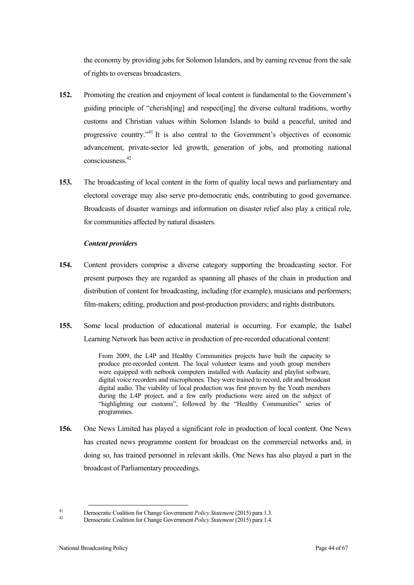the economy by providing jobs for Solomon Islanders, and by earning revenue from the sale of rights to overseas broadcasters.

- **152.** Promoting the creation and enjoyment of local content is fundamental to the Government's guiding principle of "cherish[ing] and respect[ing] the diverse cultural traditions, worthy customs and Christian values within Solomon Islands to build a peaceful, united and progressive country."<sup>41</sup> It is also central to the Government's objectives of economic advancement, private-sector led growth, generation of jobs, and promoting national consciousness.42
- **153.** The broadcasting of local content in the form of quality local news and parliamentary and electoral coverage may also serve pro-democratic ends, contributing to good governance. Broadcasts of disaster warnings and information on disaster relief also play a critical role, for communities affected by natural disasters.

#### *Content providers*

- **154.** Content providers comprise a diverse category supporting the broadcasting sector. For present purposes they are regarded as spanning all phases of the chain in production and distribution of content for broadcasting, including (for example), musicians and performers; film-makers; editing, production and post-production providers; and rights distributors.
- **155.** Some local production of educational material is occurring. For example, the Isabel Learning Network has been active in production of pre-recorded educational content:

From 2009, the L4P and Healthy Communities projects have built the capacity to produce pre-recorded content. The local volunteer teams and youth group members were equipped with netbook computers installed with Audacity and playlist software, digital voice recorders and microphones. They were trained to record, edit and broadcast digital audio. The viability of local production was first proven by the Youth members during the L4P project, and a few early productions were aired on the subject of "highlighting our customs", followed by the "Healthy Communities" series of programmes.

**156.** One News Limited has played a significant role in production of local content. One News has created news programme content for broadcast on the commercial networks and, in doing so, has trained personnel in relevant skills. One News has also played a part in the broadcast of Parliamentary proceedings.

<sup>41</sup> Democratic Coalition for Change Government *Policy Statement* (2015) para 1.3. <sup>42</sup> Democratic Coalition for Change Government *Policy Statement* (2015) para 1.4.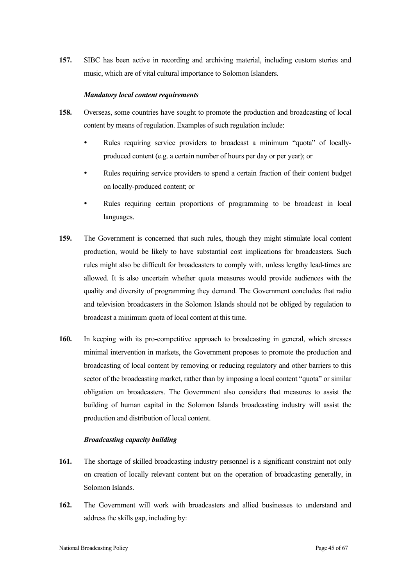**157.** SIBC has been active in recording and archiving material, including custom stories and music, which are of vital cultural importance to Solomon Islanders.

#### *Mandatory local content requirements*

- **158.** Overseas, some countries have sought to promote the production and broadcasting of local content by means of regulation. Examples of such regulation include:
	- Rules requiring service providers to broadcast a minimum "quota" of locallyproduced content (e.g. a certain number of hours per day or per year); or
	- Rules requiring service providers to spend a certain fraction of their content budget on locally-produced content; or
	- Rules requiring certain proportions of programming to be broadcast in local languages.
- **159.** The Government is concerned that such rules, though they might stimulate local content production, would be likely to have substantial cost implications for broadcasters. Such rules might also be difficult for broadcasters to comply with, unless lengthy lead-times are allowed. It is also uncertain whether quota measures would provide audiences with the quality and diversity of programming they demand. The Government concludes that radio and television broadcasters in the Solomon Islands should not be obliged by regulation to broadcast a minimum quota of local content at this time.
- **160.** In keeping with its pro-competitive approach to broadcasting in general, which stresses minimal intervention in markets, the Government proposes to promote the production and broadcasting of local content by removing or reducing regulatory and other barriers to this sector of the broadcasting market, rather than by imposing a local content "quota" or similar obligation on broadcasters. The Government also considers that measures to assist the building of human capital in the Solomon Islands broadcasting industry will assist the production and distribution of local content.

#### *Broadcasting capacity building*

- **161.** The shortage of skilled broadcasting industry personnel is a significant constraint not only on creation of locally relevant content but on the operation of broadcasting generally, in Solomon Islands.
- **162.** The Government will work with broadcasters and allied businesses to understand and address the skills gap, including by: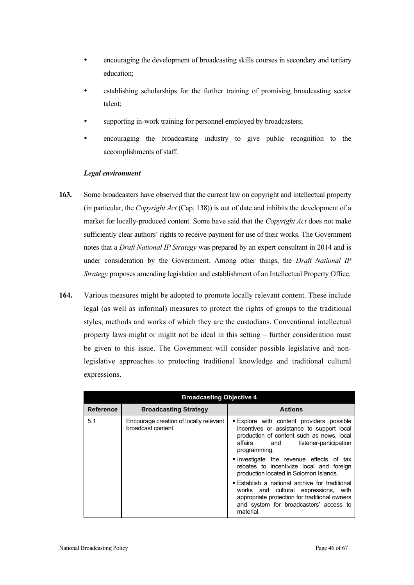- encouraging the development of broadcasting skills courses in secondary and tertiary education;
- establishing scholarships for the further training of promising broadcasting sector talent;
- supporting in-work training for personnel employed by broadcasters;
- encouraging the broadcasting industry to give public recognition to the accomplishments of staff.

### *Legal environment*

- **163.** Some broadcasters have observed that the current law on copyright and intellectual property (in particular, the *Copyright Act* (Cap. 138)) is out of date and inhibits the development of a market for locally-produced content. Some have said that the *Copyright Act* does not make sufficiently clear authors' rights to receive payment for use of their works. The Government notes that a *Draft National IP Strategy* was prepared by an expert consultant in 2014 and is under consideration by the Government. Among other things, the *Draft National IP Strategy* proposes amending legislation and establishment of an Intellectual Property Office.
- **164.** Various measures might be adopted to promote locally relevant content. These include legal (as well as informal) measures to protect the rights of groups to the traditional styles, methods and works of which they are the custodians. Conventional intellectual property laws might or might not be ideal in this setting – further consideration must be given to this issue. The Government will consider possible legislative and nonlegislative approaches to protecting traditional knowledge and traditional cultural expressions.

| <b>Broadcasting Objective 4</b> |                                                              |                                                                                                                                                                                                                                                                                                                                                                                     |
|---------------------------------|--------------------------------------------------------------|-------------------------------------------------------------------------------------------------------------------------------------------------------------------------------------------------------------------------------------------------------------------------------------------------------------------------------------------------------------------------------------|
| <b>Reference</b>                | <b>Broadcasting Strategy</b>                                 | <b>Actions</b>                                                                                                                                                                                                                                                                                                                                                                      |
| 5.1                             | Encourage creation of locally relevant<br>broadcast content. | <b>Explore</b> with content providers possible<br>incentives or assistance to support local<br>production of content such as news, local<br>affairs and<br>listener-participation<br>programming.<br>Investigate the revenue effects of tax<br>rebates to incentivize local and foreign<br>production located in Solomon Islands.<br>■ Establish a national archive for traditional |
|                                 |                                                              | works and cultural expressions, with<br>appropriate protection for traditional owners<br>and system for broadcasters' access to<br>material.                                                                                                                                                                                                                                        |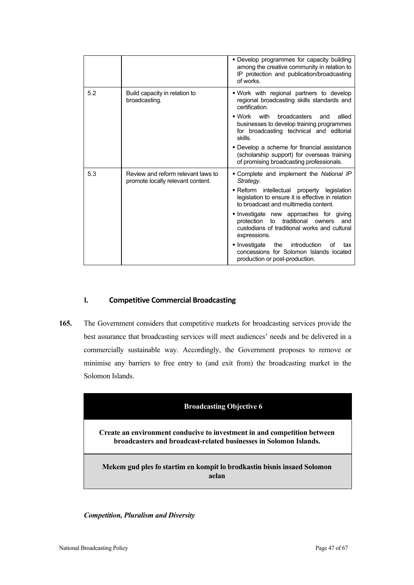|     |                                                                         | • Develop programmes for capacity building<br>among the creative community in relation to<br>IP protection and publication/broadcasting<br>of works.             |
|-----|-------------------------------------------------------------------------|------------------------------------------------------------------------------------------------------------------------------------------------------------------|
| 5.2 | Build capacity in relation to<br>broadcasting.                          | . Work with regional partners to develop<br>regional broadcasting skills standards and<br>certification.                                                         |
|     |                                                                         | $\blacksquare$ Work<br>with<br>broadcasters<br>allied<br>and<br>businesses to develop training programmes<br>for broadcasting technical and editorial<br>skills. |
|     |                                                                         | • Develop a scheme for financial assistance<br>(scholarship support) for overseas training<br>of promising broadcasting professionals.                           |
| 5.3 | Review and reform relevant laws to<br>promote locally relevant content. | Complete and implement the National IP<br>Strategy.                                                                                                              |
|     |                                                                         | - Reform intellectual property legislation<br>legislation to ensure it is effective in relation<br>to broadcast and multimedia content.                          |
|     |                                                                         | Investigate new approaches for giving<br>protection<br>to<br>traditional<br>owners<br>and<br>custodians of traditional works and cultural<br>expressions.        |
|     |                                                                         | introduction<br>• Investigate<br>the<br>οf<br>tax<br>concessions for Solomon Islands located<br>production or post-production.                                   |

# **I. Competitive Commercial Broadcasting**

**165.** The Government considers that competitive markets for broadcasting services provide the best assurance that broadcasting services will meet audiences' needs and be delivered in a commercially sustainable way. Accordingly, the Government proposes to remove or minimise any barriers to free entry to (and exit from) the broadcasting market in the Solomon Islands.



### *Competition, Pluralism and Diversity*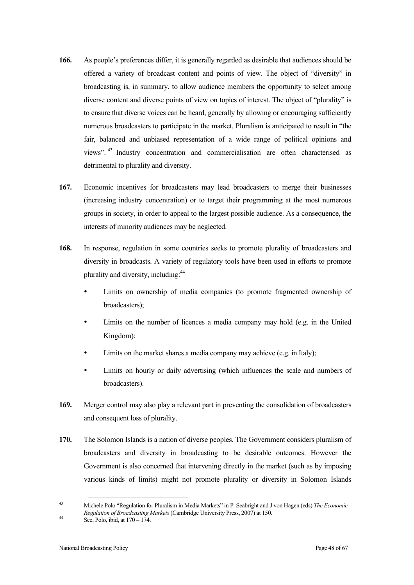- **166.** As people's preferences differ, it is generally regarded as desirable that audiences should be offered a variety of broadcast content and points of view. The object of "diversity" in broadcasting is, in summary, to allow audience members the opportunity to select among diverse content and diverse points of view on topics of interest. The object of "plurality" is to ensure that diverse voices can be heard, generally by allowing or encouraging sufficiently numerous broadcasters to participate in the market. Pluralism is anticipated to result in "the fair, balanced and unbiased representation of a wide range of political opinions and views". 43 Industry concentration and commercialisation are often characterised as detrimental to plurality and diversity.
- **167.** Economic incentives for broadcasters may lead broadcasters to merge their businesses (increasing industry concentration) or to target their programming at the most numerous groups in society, in order to appeal to the largest possible audience. As a consequence, the interests of minority audiences may be neglected.
- **168.** In response, regulation in some countries seeks to promote plurality of broadcasters and diversity in broadcasts. A variety of regulatory tools have been used in efforts to promote plurality and diversity, including:<sup>44</sup>
	- Limits on ownership of media companies (to promote fragmented ownership of broadcasters);
	- Limits on the number of licences a media company may hold (e.g. in the United Kingdom);
	- Limits on the market shares a media company may achieve (e.g. in Italy);
	- Limits on hourly or daily advertising (which influences the scale and numbers of broadcasters).
- **169.** Merger control may also play a relevant part in preventing the consolidation of broadcasters and consequent loss of plurality.
- **170.** The Solomon Islands is a nation of diverse peoples. The Government considers pluralism of broadcasters and diversity in broadcasting to be desirable outcomes. However the Government is also concerned that intervening directly in the market (such as by imposing various kinds of limits) might not promote plurality or diversity in Solomon Islands

<sup>43</sup> Michele Polo "Regulation for Pluralism in Media Markets" in P. Seabright and J von Hagen (eds) *The Economic Regulation of Broadcasting Markets* (Cambridge University Press, 2007) at 150. See, Polo, ibid, at 170 – 174.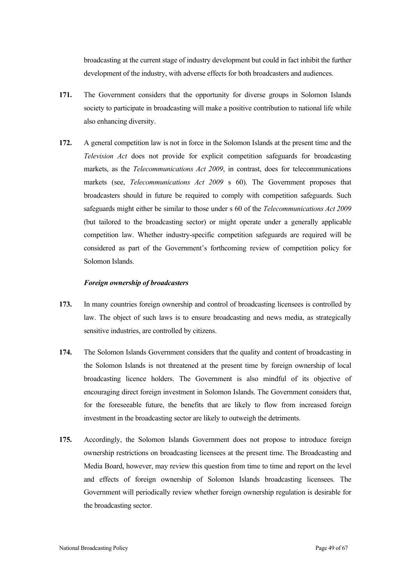broadcasting at the current stage of industry development but could in fact inhibit the further development of the industry, with adverse effects for both broadcasters and audiences.

- **171.** The Government considers that the opportunity for diverse groups in Solomon Islands society to participate in broadcasting will make a positive contribution to national life while also enhancing diversity.
- **172.** A general competition law is not in force in the Solomon Islands at the present time and the *Television Act* does not provide for explicit competition safeguards for broadcasting markets, as the *Telecommunications Act 2009*, in contrast, does for telecommunications markets (see, *Telecommunications Act 2009* s 60). The Government proposes that broadcasters should in future be required to comply with competition safeguards. Such safeguards might either be similar to those under s 60 of the *Telecommunications Act 2009* (but tailored to the broadcasting sector) or might operate under a generally applicable competition law. Whether industry-specific competition safeguards are required will be considered as part of the Government's forthcoming review of competition policy for Solomon Islands.

#### *Foreign ownership of broadcasters*

- **173.** In many countries foreign ownership and control of broadcasting licensees is controlled by law. The object of such laws is to ensure broadcasting and news media, as strategically sensitive industries, are controlled by citizens.
- **174.** The Solomon Islands Government considers that the quality and content of broadcasting in the Solomon Islands is not threatened at the present time by foreign ownership of local broadcasting licence holders. The Government is also mindful of its objective of encouraging direct foreign investment in Solomon Islands. The Government considers that, for the foreseeable future, the benefits that are likely to flow from increased foreign investment in the broadcasting sector are likely to outweigh the detriments.
- **175.** Accordingly, the Solomon Islands Government does not propose to introduce foreign ownership restrictions on broadcasting licensees at the present time. The Broadcasting and Media Board, however, may review this question from time to time and report on the level and effects of foreign ownership of Solomon Islands broadcasting licensees. The Government will periodically review whether foreign ownership regulation is desirable for the broadcasting sector.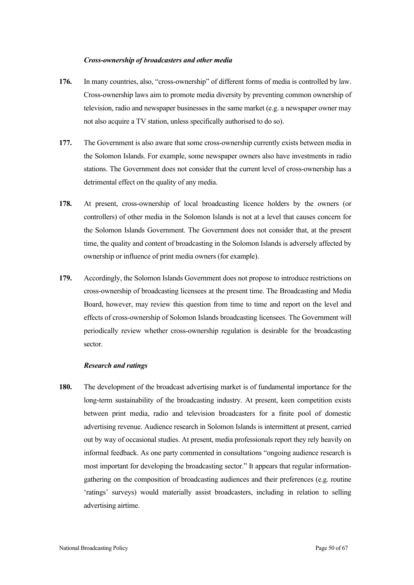#### *Cross-ownership of broadcasters and other media*

- **176.** In many countries, also, "cross-ownership" of different forms of media is controlled by law. Cross-ownership laws aim to promote media diversity by preventing common ownership of television, radio and newspaper businesses in the same market (e.g. a newspaper owner may not also acquire a TV station, unless specifically authorised to do so).
- **177.** The Government is also aware that some cross-ownership currently exists between media in the Solomon Islands. For example, some newspaper owners also have investments in radio stations. The Government does not consider that the current level of cross-ownership has a detrimental effect on the quality of any media.
- **178.** At present, cross-ownership of local broadcasting licence holders by the owners (or controllers) of other media in the Solomon Islands is not at a level that causes concern for the Solomon Islands Government. The Government does not consider that, at the present time, the quality and content of broadcasting in the Solomon Islands is adversely affected by ownership or influence of print media owners (for example).
- **179.** Accordingly, the Solomon Islands Government does not propose to introduce restrictions on cross-ownership of broadcasting licensees at the present time. The Broadcasting and Media Board, however, may review this question from time to time and report on the level and effects of cross-ownership of Solomon Islands broadcasting licensees. The Government will periodically review whether cross-ownership regulation is desirable for the broadcasting sector.

#### *Research and ratings*

**180.** The development of the broadcast advertising market is of fundamental importance for the long-term sustainability of the broadcasting industry. At present, keen competition exists between print media, radio and television broadcasters for a finite pool of domestic advertising revenue. Audience research in Solomon Islands is intermittent at present, carried out by way of occasional studies. At present, media professionals report they rely heavily on informal feedback. As one party commented in consultations "ongoing audience research is most important for developing the broadcasting sector." It appears that regular informationgathering on the composition of broadcasting audiences and their preferences (e.g. routine 'ratings' surveys) would materially assist broadcasters, including in relation to selling advertising airtime.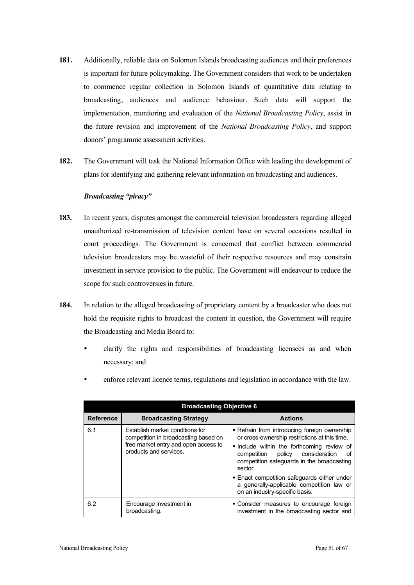- **181.** Additionally, reliable data on Solomon Islands broadcasting audiences and their preferences is important for future policymaking. The Government considers that work to be undertaken to commence regular collection in Solomon Islands of quantitative data relating to broadcasting, audiences and audience behaviour. Such data will support the implementation, monitoring and evaluation of the *National Broadcasting Policy,* assist in the future revision and improvement of the *National Broadcasting Policy*, and support donors' programme assessment activities.
- **182.** The Government will task the National Information Office with leading the development of plans for identifying and gathering relevant information on broadcasting and audiences.

### *Broadcasting "piracy"*

- **183.** In recent years, disputes amongst the commercial television broadcasters regarding alleged unauthorized re-transmission of television content have on several occasions resulted in court proceedings. The Government is concerned that conflict between commercial television broadcasters may be wasteful of their respective resources and may constrain investment in service provision to the public. The Government will endeavour to reduce the scope for such controversies in future.
- **184.** In relation to the alleged broadcasting of proprietary content by a broadcaster who does not hold the requisite rights to broadcast the content in question, the Government will require the Broadcasting and Media Board to:
	- clarify the rights and responsibilities of broadcasting licensees as and when necessary; and
	- enforce relevant licence terms, regulations and legislation in accordance with the law.

| <b>Broadcasting Objective 6</b> |                                                                                                                                           |                                                                                                                                                                                                                                                                                                                                                                                   |
|---------------------------------|-------------------------------------------------------------------------------------------------------------------------------------------|-----------------------------------------------------------------------------------------------------------------------------------------------------------------------------------------------------------------------------------------------------------------------------------------------------------------------------------------------------------------------------------|
| <b>Reference</b>                | <b>Broadcasting Strategy</b>                                                                                                              | <b>Actions</b>                                                                                                                                                                                                                                                                                                                                                                    |
| 6.1                             | Establish market conditions for<br>competition in broadcasting based on<br>free market entry and open access to<br>products and services. | - Refrain from introducing foreign ownership<br>or cross-ownership restrictions at this time.<br>linclude within the forthcoming review of<br>policy<br>consideration<br>competition<br>οf<br>competition safeguards in the broadcasting<br>sector.<br>• Enact competition safeguards either under<br>a generally-applicable competition law or<br>on an industry-specific basis. |
| 6.2                             | Encourage investment in<br>broadcasting.                                                                                                  | • Consider measures to encourage foreign<br>investment in the broadcasting sector and                                                                                                                                                                                                                                                                                             |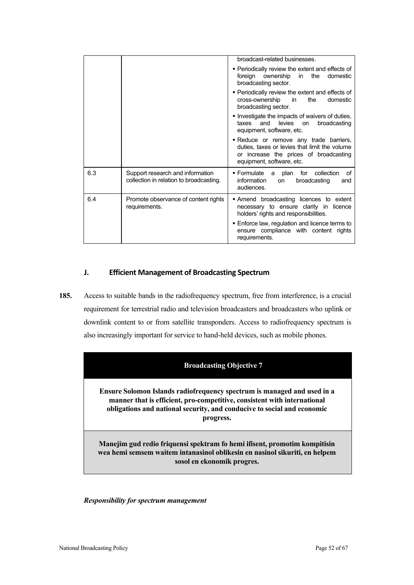|     |                                                                             | broadcast-related businesses.                                                                                                                                  |
|-----|-----------------------------------------------------------------------------|----------------------------------------------------------------------------------------------------------------------------------------------------------------|
|     |                                                                             | • Periodically review the extent and effects of<br>foreign ownership in the<br>domestic<br>broadcasting sector.                                                |
|     |                                                                             | • Periodically review the extent and effects of<br>cross-ownership<br>the<br>in<br>domestic<br>broadcasting sector.                                            |
|     |                                                                             | Investigate the impacts of waivers of duties,<br>taxes<br>and<br>levies on<br>broadcasting<br>equipment, software, etc.                                        |
|     |                                                                             | - Reduce or remove any trade barriers,<br>duties, taxes or levies that limit the volume<br>or increase the prices of broadcasting<br>equipment, software, etc. |
| 6.3 | Support research and information<br>collection in relation to broadcasting. | ■ Formulate a plan<br>for collection<br>οf<br>information<br>broadcasting<br>on<br>and<br>audiences.                                                           |
| 6.4 | Promote observance of content rights<br>requirements.                       | Amend broadcasting licences to extent<br>necessary to ensure clarity in licence<br>holders' rights and responsibilities.                                       |
|     |                                                                             | . Enforce law, regulation and licence terms to<br>ensure compliance with content rights<br>requirements.                                                       |

# **J. Efficient Management of Broadcasting Spectrum**

**185.** Access to suitable bands in the radiofrequency spectrum, free from interference, is a crucial requirement for terrestrial radio and television broadcasters and broadcasters who uplink or downlink content to or from satellite transponders. Access to radiofrequency spectrum is also increasingly important for service to hand-held devices, such as mobile phones.

# **Broadcasting Objective 7**

**Ensure Solomon Islands radiofrequency spectrum is managed and used in a manner that is efficient, pro-competitive, consistent with international obligations and national security, and conducive to social and economic progress.** 

**Manejim gud redio friquensi spektram fo hemi ifisent, promotim kompitisin wea hemi semsem waitem intanasinol oblikesin en nasinol sikuriti, en helpem sosol en ekonomik progres.**

*Responsibility for spectrum management*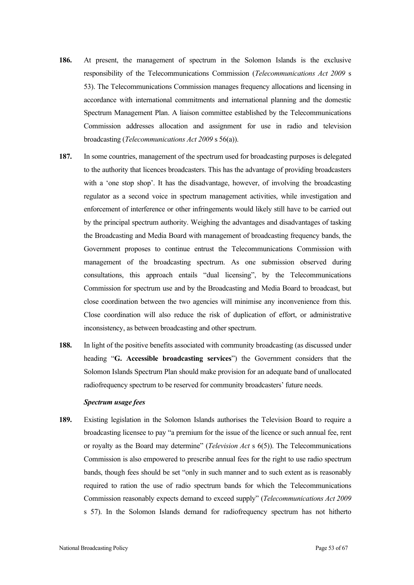- **186.** At present, the management of spectrum in the Solomon Islands is the exclusive responsibility of the Telecommunications Commission (*Telecommunications Act 2009* s 53). The Telecommunications Commission manages frequency allocations and licensing in accordance with international commitments and international planning and the domestic Spectrum Management Plan. A liaison committee established by the Telecommunications Commission addresses allocation and assignment for use in radio and television broadcasting (*Telecommunications Act 2009* s 56(a)).
- **187.** In some countries, management of the spectrum used for broadcasting purposes is delegated to the authority that licences broadcasters. This has the advantage of providing broadcasters with a 'one stop shop'. It has the disadvantage, however, of involving the broadcasting regulator as a second voice in spectrum management activities, while investigation and enforcement of interference or other infringements would likely still have to be carried out by the principal spectrum authority. Weighing the advantages and disadvantages of tasking the Broadcasting and Media Board with management of broadcasting frequency bands, the Government proposes to continue entrust the Telecommunications Commission with management of the broadcasting spectrum. As one submission observed during consultations, this approach entails "dual licensing", by the Telecommunications Commission for spectrum use and by the Broadcasting and Media Board to broadcast, but close coordination between the two agencies will minimise any inconvenience from this. Close coordination will also reduce the risk of duplication of effort, or administrative inconsistency, as between broadcasting and other spectrum.
- **188.** In light of the positive benefits associated with community broadcasting (as discussed under heading "**G. Accessible broadcasting services**") the Government considers that the Solomon Islands Spectrum Plan should make provision for an adequate band of unallocated radiofrequency spectrum to be reserved for community broadcasters' future needs.

#### *Spectrum usage fees*

**189.** Existing legislation in the Solomon Islands authorises the Television Board to require a broadcasting licensee to pay "a premium for the issue of the licence or such annual fee, rent or royalty as the Board may determine" (*Television Act* s 6(5)). The Telecommunications Commission is also empowered to prescribe annual fees for the right to use radio spectrum bands, though fees should be set "only in such manner and to such extent as is reasonably required to ration the use of radio spectrum bands for which the Telecommunications Commission reasonably expects demand to exceed supply" (*Telecommunications Act 2009* s 57). In the Solomon Islands demand for radiofrequency spectrum has not hitherto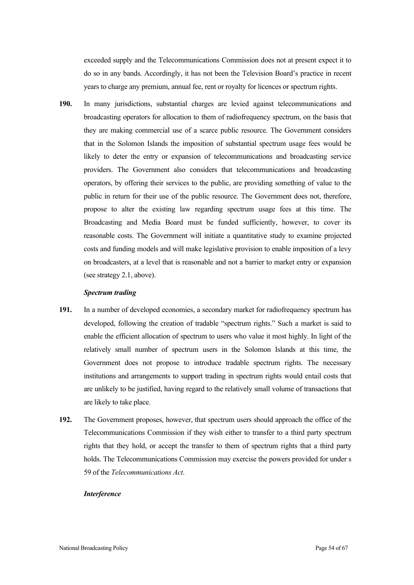exceeded supply and the Telecommunications Commission does not at present expect it to do so in any bands. Accordingly, it has not been the Television Board's practice in recent years to charge any premium, annual fee, rent or royalty for licences or spectrum rights.

**190.** In many jurisdictions, substantial charges are levied against telecommunications and broadcasting operators for allocation to them of radiofrequency spectrum, on the basis that they are making commercial use of a scarce public resource. The Government considers that in the Solomon Islands the imposition of substantial spectrum usage fees would be likely to deter the entry or expansion of telecommunications and broadcasting service providers. The Government also considers that telecommunications and broadcasting operators, by offering their services to the public, are providing something of value to the public in return for their use of the public resource. The Government does not, therefore, propose to alter the existing law regarding spectrum usage fees at this time. The Broadcasting and Media Board must be funded sufficiently, however, to cover its reasonable costs. The Government will initiate a quantitative study to examine projected costs and funding models and will make legislative provision to enable imposition of a levy on broadcasters, at a level that is reasonable and not a barrier to market entry or expansion (see strategy 2.1, above).

#### *Spectrum trading*

- **191.** In a number of developed economies, a secondary market for radiofrequency spectrum has developed, following the creation of tradable "spectrum rights." Such a market is said to enable the efficient allocation of spectrum to users who value it most highly. In light of the relatively small number of spectrum users in the Solomon Islands at this time, the Government does not propose to introduce tradable spectrum rights. The necessary institutions and arrangements to support trading in spectrum rights would entail costs that are unlikely to be justified, having regard to the relatively small volume of transactions that are likely to take place.
- **192.** The Government proposes, however, that spectrum users should approach the office of the Telecommunications Commission if they wish either to transfer to a third party spectrum rights that they hold, or accept the transfer to them of spectrum rights that a third party holds. The Telecommunications Commission may exercise the powers provided for under s 59 of the *Telecommunications Act*.

#### *Interference*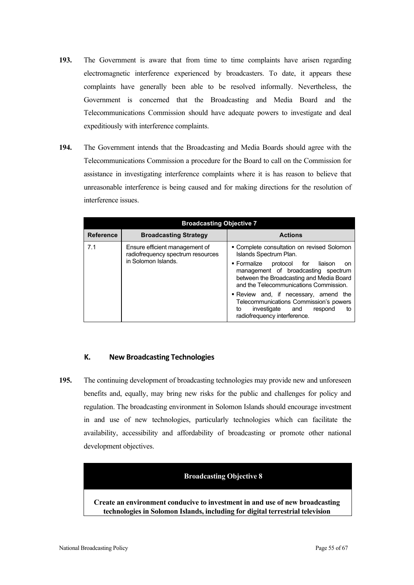- **193.** The Government is aware that from time to time complaints have arisen regarding electromagnetic interference experienced by broadcasters. To date, it appears these complaints have generally been able to be resolved informally. Nevertheless, the Government is concerned that the Broadcasting and Media Board and the Telecommunications Commission should have adequate powers to investigate and deal expeditiously with interference complaints.
- **194.** The Government intends that the Broadcasting and Media Boards should agree with the Telecommunications Commission a procedure for the Board to call on the Commission for assistance in investigating interference complaints where it is has reason to believe that unreasonable interference is being caused and for making directions for the resolution of interference issues.

| <b>Broadcasting Objective 7</b> |                                                                     |                                                                                                                                                                                        |  |
|---------------------------------|---------------------------------------------------------------------|----------------------------------------------------------------------------------------------------------------------------------------------------------------------------------------|--|
| <b>Reference</b>                | <b>Broadcasting Strategy</b>                                        | <b>Actions</b>                                                                                                                                                                         |  |
| 7.1                             | Ensure efficient management of<br>radiofrequency spectrum resources | • Complete consultation on revised Solomon<br>Islands Spectrum Plan.                                                                                                                   |  |
|                                 | in Solomon Islands.                                                 | $\blacksquare$ Formalize<br>protocol for<br>liaison<br>on<br>management of broadcasting spectrum<br>between the Broadcasting and Media Board<br>and the Telecommunications Commission. |  |
|                                 |                                                                     | • Review and, if necessary, amend the<br>Telecommunications Commission's powers<br>investigate and<br>to<br>respond<br>t٥<br>radiofrequency interference.                              |  |

## **K. New Broadcasting Technologies**

**195.** The continuing development of broadcasting technologies may provide new and unforeseen benefits and, equally, may bring new risks for the public and challenges for policy and regulation. The broadcasting environment in Solomon Islands should encourage investment in and use of new technologies, particularly technologies which can facilitate the availability, accessibility and affordability of broadcasting or promote other national development objectives.

#### **Broadcasting Objective 8**

**Create an environment conducive to investment in and use of new broadcasting technologies in Solomon Islands, including for digital terrestrial television**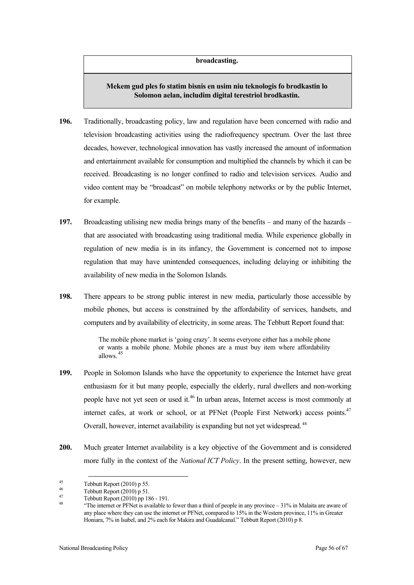#### **broadcasting.**

# **Mekem gud ples fo statim bisnis en usim niu teknologis fo brodkastin lo Solomon aelan, includim digital terestriol brodkastin.**

- **196.** Traditionally, broadcasting policy, law and regulation have been concerned with radio and television broadcasting activities using the radiofrequency spectrum. Over the last three decades, however, technological innovation has vastly increased the amount of information and entertainment available for consumption and multiplied the channels by which it can be received. Broadcasting is no longer confined to radio and television services. Audio and video content may be "broadcast" on mobile telephony networks or by the public Internet, for example.
- **197.** Broadcasting utilising new media brings many of the benefits and many of the hazards that are associated with broadcasting using traditional media. While experience globally in regulation of new media is in its infancy, the Government is concerned not to impose regulation that may have unintended consequences, including delaying or inhibiting the availability of new media in the Solomon Islands.
- **198.** There appears to be strong public interest in new media, particularly those accessible by mobile phones, but access is constrained by the affordability of services, handsets, and computers and by availability of electricity, in some areas. The Tebbutt Report found that:

The mobile phone market is 'going crazy'. It seems everyone either has a mobile phone or wants a mobile phone. Mobile phones are a must buy item where affordability allows. <sup>45</sup>

- **199.** People in Solomon Islands who have the opportunity to experience the Internet have great enthusiasm for it but many people, especially the elderly, rural dwellers and non-working people have not yet seen or used it.<sup>46</sup> In urban areas, Internet access is most commonly at internet cafes, at work or school, or at PFNet (People First Network) access points.<sup>47</sup> Overall, however, internet availability is expanding but not yet widespread.<sup>48</sup>
- **200.** Much greater Internet availability is a key objective of the Government and is considered more fully in the context of the *National ICT Policy*. In the present setting, however, new

Tebbutt Report (2010) p 55.<br>
46 Tebbutt Report (2010) p 51.<br>
47 Tebbutt Report (2010) pp 186 - 191.<br>
48 "The internet or PFNet is available to fewer than a third of people in any province – 31% in Malaita are aware of any place where they can use the internet or PFNet, compared to 15% in the Western province, 11% in Greater Honiara, 7% in Isabel, and 2% each for Makira and Guadalcanal." Tebbutt Report (2010) p 8.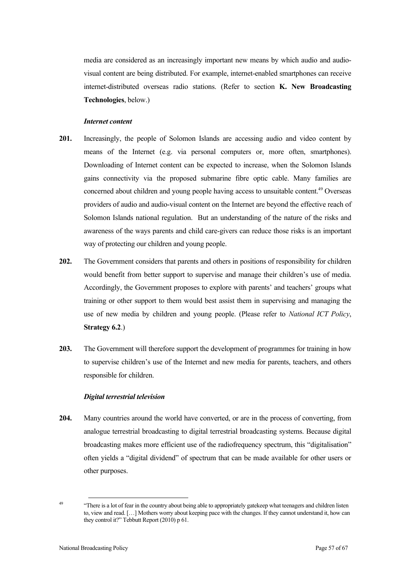media are considered as an increasingly important new means by which audio and audiovisual content are being distributed. For example, internet-enabled smartphones can receive internet-distributed overseas radio stations. (Refer to section **K. New Broadcasting Technologies**, below.)

#### *Internet content*

- **201.** Increasingly, the people of Solomon Islands are accessing audio and video content by means of the Internet (e.g. via personal computers or, more often, smartphones). Downloading of Internet content can be expected to increase, when the Solomon Islands gains connectivity via the proposed submarine fibre optic cable. Many families are concerned about children and young people having access to unsuitable content.<sup>49</sup> Overseas providers of audio and audio-visual content on the Internet are beyond the effective reach of Solomon Islands national regulation. But an understanding of the nature of the risks and awareness of the ways parents and child care-givers can reduce those risks is an important way of protecting our children and young people.
- **202.** The Government considers that parents and others in positions of responsibility for children would benefit from better support to supervise and manage their children's use of media. Accordingly, the Government proposes to explore with parents' and teachers' groups what training or other support to them would best assist them in supervising and managing the use of new media by children and young people. (Please refer to *National ICT Policy*, **Strategy 6.2**.)
- **203.** The Government will therefore support the development of programmes for training in how to supervise children's use of the Internet and new media for parents, teachers, and others responsible for children.

#### *Digital terrestrial television*

**204.** Many countries around the world have converted, or are in the process of converting, from analogue terrestrial broadcasting to digital terrestrial broadcasting systems. Because digital broadcasting makes more efficient use of the radiofrequency spectrum, this "digitalisation" often yields a "digital dividend" of spectrum that can be made available for other users or other purposes.

<sup>&</sup>lt;sup>49</sup> "There is a lot of fear in the country about being able to appropriately gatekeep what teenagers and children listen to, view and read. […] Mothers worry about keeping pace with the changes. If they cannot understand it, how can they control it?" Tebbutt Report (2010) p 61.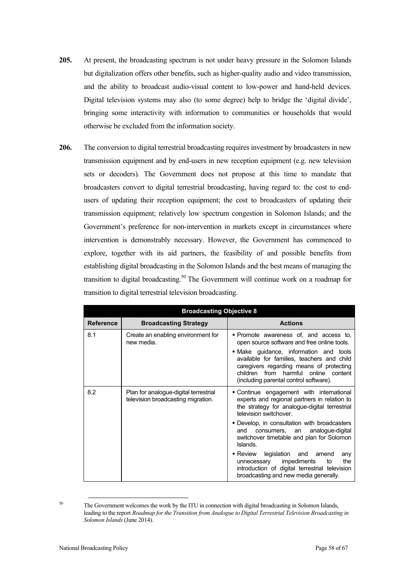- **205.** At present, the broadcasting spectrum is not under heavy pressure in the Solomon Islands but digitalization offers other benefits, such as higher-quality audio and video transmission, and the ability to broadcast audio-visual content to low-power and hand-held devices. Digital television systems may also (to some degree) help to bridge the 'digital divide', bringing some interactivity with information to communities or households that would otherwise be excluded from the information society.
- **206.** The conversion to digital terrestrial broadcasting requires investment by broadcasters in new transmission equipment and by end-users in new reception equipment (e.g. new television sets or decoders). The Government does not propose at this time to mandate that broadcasters convert to digital terrestrial broadcasting, having regard to: the cost to endusers of updating their reception equipment; the cost to broadcasters of updating their transmission equipment; relatively low spectrum congestion in Solomon Islands; and the Government's preference for non-intervention in markets except in circumstances where intervention is demonstrably necessary. However, the Government has commenced to explore, together with its aid partners, the feasibility of and possible benefits from establishing digital broadcasting in the Solomon Islands and the best means of managing the transition to digital broadcasting.<sup>50</sup> The Government will continue work on a roadmap for transition to digital terrestrial television broadcasting.

| <b>Broadcasting Objective 8</b> |                                                                             |                                                                                                                                                                                                                    |  |
|---------------------------------|-----------------------------------------------------------------------------|--------------------------------------------------------------------------------------------------------------------------------------------------------------------------------------------------------------------|--|
| <b>Reference</b>                | <b>Broadcasting Strategy</b>                                                | <b>Actions</b>                                                                                                                                                                                                     |  |
| 8.1                             | Create an enabling environment for<br>new media.                            | • Promote awareness of, and access to,<br>open source software and free online tools.                                                                                                                              |  |
|                                 |                                                                             | • Make guidance, information and tools<br>available for families, teachers and child<br>caregivers regarding means of protecting<br>children from harmful online content<br>(including parental control software). |  |
| 8.2                             | Plan for analogue-digital terrestrial<br>television broadcasting migration. | • Continue engagement with international<br>experts and regional partners in relation to<br>the strategy for analogue-digital terrestrial<br>television switchover.                                                |  |
|                                 |                                                                             | • Develop, in consultation with broadcasters<br>consumers, an analogue-digital<br>and<br>switchover timetable and plan for Solomon<br>Islands.                                                                     |  |
|                                 |                                                                             | Review legislation and amend<br>any<br>impediments<br>to<br>the<br>unnecessary<br>introduction of digital terrestrial television<br>broadcasting and new media generally.                                          |  |

<sup>&</sup>lt;sup>50</sup> The Government welcomes the work by the ITU in connection with digital broadcasting in Solomon Islands, leading to the report *Roadmap for the Transition from Analogue to Digital Terrestrial Television Broadcasting in Solomon Islands* (June 2014).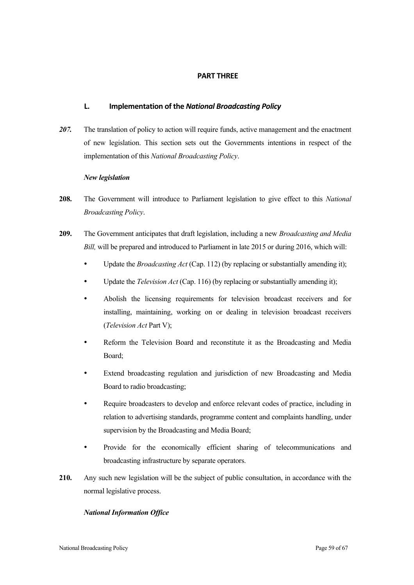## **PART THREE**

## **L. Implementation of the** *National Broadcasting Policy*

*207.* The translation of policy to action will require funds, active management and the enactment of new legislation. This section sets out the Governments intentions in respect of the implementation of this *National Broadcasting Policy*.

### *New legislation*

- **208.** The Government will introduce to Parliament legislation to give effect to this *National Broadcasting Policy*.
- **209.** The Government anticipates that draft legislation, including a new *Broadcasting and Media Bill,* will be prepared and introduced to Parliament in late 2015 or during 2016, which will:
	- Update the *Broadcasting Act* (Cap. 112) (by replacing or substantially amending it);
	- Update the *Television Act* (Cap. 116) (by replacing or substantially amending it);
	- Abolish the licensing requirements for television broadcast receivers and for installing, maintaining, working on or dealing in television broadcast receivers (*Television Act* Part V);
	- Reform the Television Board and reconstitute it as the Broadcasting and Media Board;
	- Extend broadcasting regulation and jurisdiction of new Broadcasting and Media Board to radio broadcasting;
	- Require broadcasters to develop and enforce relevant codes of practice, including in relation to advertising standards, programme content and complaints handling, under supervision by the Broadcasting and Media Board;
	- Provide for the economically efficient sharing of telecommunications and broadcasting infrastructure by separate operators.
- **210.** Any such new legislation will be the subject of public consultation, in accordance with the normal legislative process.

### *National Information Office*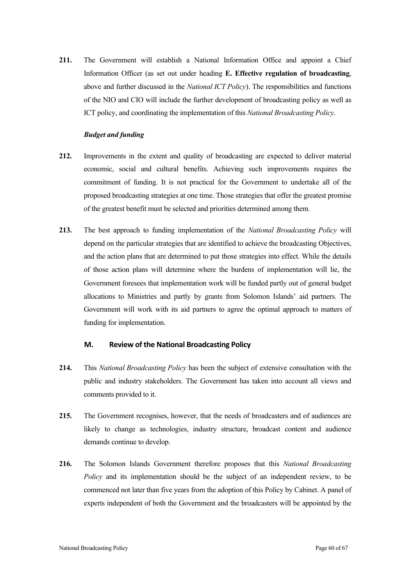**211.** The Government will establish a National Information Office and appoint a Chief Information Officer (as set out under heading **E. Effective regulation of broadcasting**, above and further discussed in the *National ICT Policy*). The responsibilities and functions of the NIO and CIO will include the further development of broadcasting policy as well as ICT policy, and coordinating the implementation of this *National Broadcasting Policy*.

#### *Budget and funding*

- **212.** Improvements in the extent and quality of broadcasting are expected to deliver material economic, social and cultural benefits. Achieving such improvements requires the commitment of funding. It is not practical for the Government to undertake all of the proposed broadcasting strategies at one time. Those strategies that offer the greatest promise of the greatest benefit must be selected and priorities determined among them.
- **213.** The best approach to funding implementation of the *National Broadcasting Policy* will depend on the particular strategies that are identified to achieve the broadcasting Objectives, and the action plans that are determined to put those strategies into effect. While the details of those action plans will determine where the burdens of implementation will lie, the Government foresees that implementation work will be funded partly out of general budget allocations to Ministries and partly by grants from Solomon Islands' aid partners. The Government will work with its aid partners to agree the optimal approach to matters of funding for implementation.

#### **M.** Review of the National Broadcasting Policy

- **214.** This *National Broadcasting Policy* has been the subject of extensive consultation with the public and industry stakeholders. The Government has taken into account all views and comments provided to it.
- **215.** The Government recognises, however, that the needs of broadcasters and of audiences are likely to change as technologies, industry structure, broadcast content and audience demands continue to develop.
- **216.** The Solomon Islands Government therefore proposes that this *National Broadcasting Policy* and its implementation should be the subject of an independent review, to be commenced not later than five years from the adoption of this Policy by Cabinet. A panel of experts independent of both the Government and the broadcasters will be appointed by the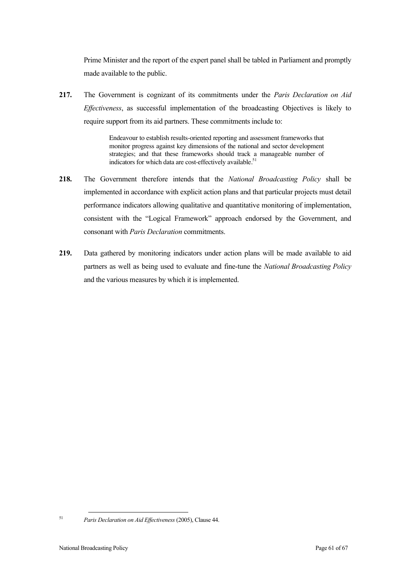Prime Minister and the report of the expert panel shall be tabled in Parliament and promptly made available to the public.

**217.** The Government is cognizant of its commitments under the *Paris Declaration on Aid Effectiveness*, as successful implementation of the broadcasting Objectives is likely to require support from its aid partners. These commitments include to:

> Endeavour to establish results-oriented reporting and assessment frameworks that monitor progress against key dimensions of the national and sector development strategies; and that these frameworks should track a manageable number of indicators for which data are cost-effectively available. $51$

- **218.** The Government therefore intends that the *National Broadcasting Policy* shall be implemented in accordance with explicit action plans and that particular projects must detail performance indicators allowing qualitative and quantitative monitoring of implementation, consistent with the "Logical Framework" approach endorsed by the Government, and consonant with *Paris Declaration* commitments.
- **219.** Data gathered by monitoring indicators under action plans will be made available to aid partners as well as being used to evaluate and fine-tune the *National Broadcasting Policy* and the various measures by which it is implemented.

<sup>51</sup> *Paris Declaration on Aid Effectiveness* (2005), Clause 44.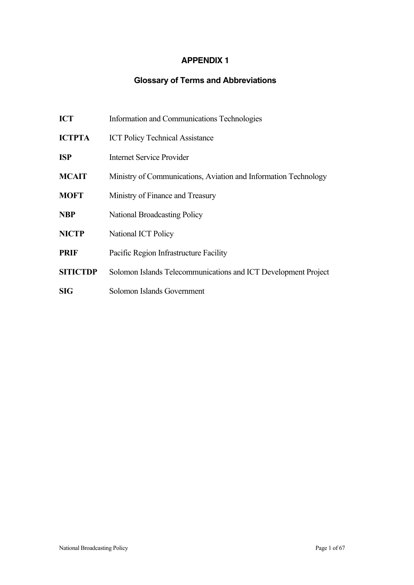# **APPENDIX 1**

# **Glossary of Terms and Abbreviations**

| ICT |  | Information and Communications Technologies |
|-----|--|---------------------------------------------|
|     |  |                                             |

- **ICTPTA** ICT Policy Technical Assistance
- **ISP** Internet Service Provider
- **MCAIT** Ministry of Communications, Aviation and Information Technology
- **MOFT** Ministry of Finance and Treasury
- **NBP** National Broadcasting Policy
- **NICTP** National ICT Policy
- **PRIF** Pacific Region Infrastructure Facility
- **SITICTDP** Solomon Islands Telecommunications and ICT Development Project
- **SIG** Solomon Islands Government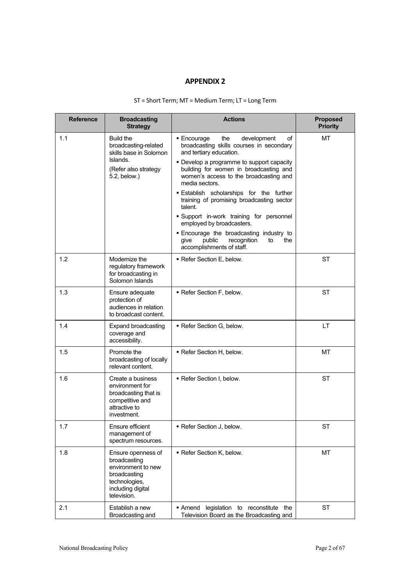# **APPENDIX 2**

| <b>Reference</b> | <b>Broadcasting</b><br><b>Strategy</b>                                                                                        | <b>Actions</b>                                                                                                                                                                                                                                                                                                                                                                                                                                                                                                                                                           | <b>Proposed</b><br><b>Priority</b> |
|------------------|-------------------------------------------------------------------------------------------------------------------------------|--------------------------------------------------------------------------------------------------------------------------------------------------------------------------------------------------------------------------------------------------------------------------------------------------------------------------------------------------------------------------------------------------------------------------------------------------------------------------------------------------------------------------------------------------------------------------|------------------------------------|
| 1.1              | <b>Build the</b><br>broadcasting-related<br>skills base in Solomon<br>Islands.<br>(Refer also strategy<br>5.2, below.)        | ■ Encourage<br>the<br>development<br>οf<br>broadcasting skills courses in secondary<br>and tertiary education.<br>• Develop a programme to support capacity<br>building for women in broadcasting and<br>women's access to the broadcasting and<br>media sectors.<br><b>Establish scholarships for the further</b><br>training of promising broadcasting sector<br>talent.<br>Support in-work training for personnel<br>employed by broadcasters.<br>. Encourage the broadcasting industry to<br>public<br>recognition<br>the<br>give<br>to<br>accomplishments of staff. | MT                                 |
| 1.2              | Modernize the<br>regulatory framework<br>for broadcasting in<br>Solomon Islands                                               | Refer Section E, below.                                                                                                                                                                                                                                                                                                                                                                                                                                                                                                                                                  | <b>ST</b>                          |
| 1.3              | Ensure adequate<br>protection of<br>audiences in relation<br>to broadcast content.                                            | Refer Section F, below.                                                                                                                                                                                                                                                                                                                                                                                                                                                                                                                                                  | <b>ST</b>                          |
| 1.4              | <b>Expand broadcasting</b><br>coverage and<br>accessibility.                                                                  | • Refer Section G, below.                                                                                                                                                                                                                                                                                                                                                                                                                                                                                                                                                | LT                                 |
| 1.5              | Promote the<br>broadcasting of locally<br>relevant content.                                                                   | Refer Section H, below.                                                                                                                                                                                                                                                                                                                                                                                                                                                                                                                                                  | MT                                 |
| 1.6              | Create a business<br>environment for<br>broadcasting that is<br>competitive and<br>attractive to<br>investment.               | Refer Section I, below.                                                                                                                                                                                                                                                                                                                                                                                                                                                                                                                                                  | ST                                 |
| 1.7              | Ensure efficient<br>management of<br>spectrum resources.                                                                      | Refer Section J, below.                                                                                                                                                                                                                                                                                                                                                                                                                                                                                                                                                  | ST                                 |
| 1.8              | Ensure openness of<br>broadcasting<br>environment to new<br>broadcasting<br>technologies,<br>including digital<br>television. | Refer Section K, below.                                                                                                                                                                                                                                                                                                                                                                                                                                                                                                                                                  | МT                                 |
| 2.1              | Establish a new<br>Broadcasting and                                                                                           | Amend legislation to reconstitute the<br>Television Board as the Broadcasting and                                                                                                                                                                                                                                                                                                                                                                                                                                                                                        | ST                                 |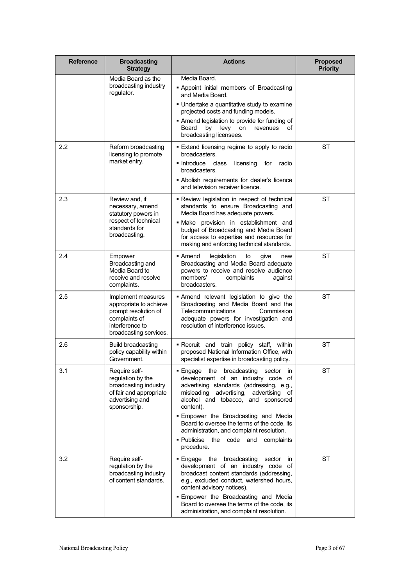| <b>Reference</b> | <b>Broadcasting</b><br><b>Strategy</b>                                                                                             | <b>Actions</b>                                                                                                                                                                                                                                                                                                                                                                                                    | <b>Proposed</b><br><b>Priority</b> |
|------------------|------------------------------------------------------------------------------------------------------------------------------------|-------------------------------------------------------------------------------------------------------------------------------------------------------------------------------------------------------------------------------------------------------------------------------------------------------------------------------------------------------------------------------------------------------------------|------------------------------------|
|                  | Media Board as the<br>broadcasting industry<br>regulator.                                                                          | Media Board.<br><b>-</b> Appoint initial members of Broadcasting<br>and Media Board.<br>. Undertake a quantitative study to examine<br>projected costs and funding models.<br>Amend legislation to provide for funding of<br>by levy on<br>οf<br>Board<br>revenues<br>broadcasting licensees.                                                                                                                     |                                    |
| $2.2\phantom{0}$ | Reform broadcasting<br>licensing to promote<br>market entry.                                                                       | Extend licensing regime to apply to radio<br>broadcasters.<br>■ Introduce<br>class<br>licensing<br>for<br>radio<br>broadcasters.<br><b>Abolish requirements for dealer's licence</b><br>and television receiver licence.                                                                                                                                                                                          | <b>ST</b>                          |
| 2.3              | Review and, if<br>necessary, amend<br>statutory powers in<br>respect of technical<br>standards for<br>broadcasting.                | - Review legislation in respect of technical<br>standards to ensure Broadcasting and<br>Media Board has adequate powers.<br>. Make provision in establishment and<br>budget of Broadcasting and Media Board<br>for access to expertise and resources for<br>making and enforcing technical standards.                                                                                                             | <b>ST</b>                          |
| 2.4              | Empower<br>Broadcasting and<br>Media Board to<br>receive and resolve<br>complaints.                                                | ■ Amend<br>legislation<br>to<br>give<br>new<br>Broadcasting and Media Board adequate<br>powers to receive and resolve audience<br>members'<br>complaints<br>against<br>broadcasters.                                                                                                                                                                                                                              | <b>ST</b>                          |
| 2.5              | Implement measures<br>appropriate to achieve<br>prompt resolution of<br>complaints of<br>interference to<br>broadcasting services. | Amend relevant legislation to give the<br>Broadcasting and Media Board and the<br>Telecommunications<br>Commission<br>adequate powers for investigation and<br>resolution of interference issues.                                                                                                                                                                                                                 | <b>ST</b>                          |
| 2.6              | <b>Build broadcasting</b><br>policy capability within<br>Government.                                                               | . Recruit and train policy staff, within<br>proposed National Information Office, with<br>specialist expertise in broadcasting policy.                                                                                                                                                                                                                                                                            | <b>ST</b>                          |
| 3.1              | Require self-<br>regulation by the<br>broadcasting industry<br>of fair and appropriate<br>advertising and<br>sponsorship.          | · Engage the broadcasting sector<br>in<br>development of an industry code of<br>advertising standards (addressing, e.g.,<br>misleading advertising, advertising of<br>alcohol and tobacco, and sponsored<br>content).<br>. Empower the Broadcasting and Media<br>Board to oversee the terms of the code, its<br>administration, and complaint resolution.<br>. Publicise the code and<br>complaints<br>procedure. | ST                                 |
| 3.2              | Require self-<br>regulation by the<br>broadcasting industry<br>of content standards.                                               | $\blacksquare$ Engage<br>the broadcasting<br>sector<br>in<br>development of an industry code of<br>broadcast content standards (addressing,<br>e.g., excluded conduct, watershed hours,<br>content advisory notices).<br><b>Empower the Broadcasting and Media</b><br>Board to oversee the terms of the code, its<br>administration, and complaint resolution.                                                    | <b>ST</b>                          |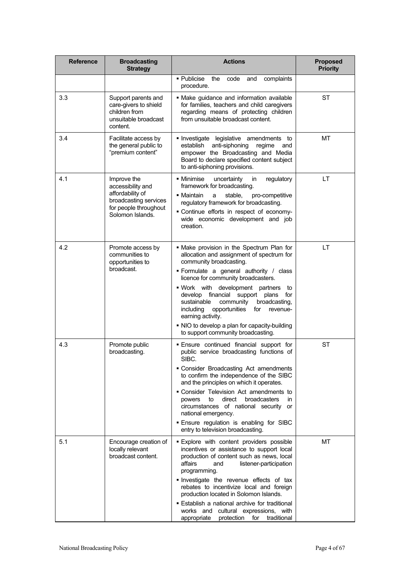| <b>Reference</b> | <b>Broadcasting</b><br><b>Strategy</b>                                                                                     | <b>Actions</b>                                                                                                                                                                                                                                                                                                                                                                                                                                                                                    | <b>Proposed</b><br><b>Priority</b> |
|------------------|----------------------------------------------------------------------------------------------------------------------------|---------------------------------------------------------------------------------------------------------------------------------------------------------------------------------------------------------------------------------------------------------------------------------------------------------------------------------------------------------------------------------------------------------------------------------------------------------------------------------------------------|------------------------------------|
|                  |                                                                                                                            | · Publicise the<br>complaints<br>code<br>and<br>procedure.                                                                                                                                                                                                                                                                                                                                                                                                                                        |                                    |
| 3.3              | Support parents and<br>care-givers to shield<br>children from<br>unsuitable broadcast<br>content.                          | · Make guidance and information available<br>for families, teachers and child caregivers<br>regarding means of protecting children<br>from unsuitable broadcast content.                                                                                                                                                                                                                                                                                                                          | ST                                 |
| 3.4              | Facilitate access by<br>the general public to<br>"premium content"                                                         | Investigate legislative amendments to<br>anti-siphoning<br>establish<br>regime<br>and<br>empower the Broadcasting and Media<br>Board to declare specified content subject<br>to anti-siphoning provisions.                                                                                                                                                                                                                                                                                        | МT                                 |
| 4.1              | Improve the<br>accessibility and<br>affordability of<br>broadcasting services<br>for people throughout<br>Solomon Islands. | regulatory<br>▪ Minimise<br>uncertainty<br>in<br>framework for broadcasting.<br>stable,<br>pro-competitive<br>■ Maintain<br>a<br>regulatory framework for broadcasting.<br>· Continue efforts in respect of economy-<br>wide economic development and job<br>creation.                                                                                                                                                                                                                            | LT                                 |
| 4.2              | Promote access by<br>communities to<br>opportunities to<br>broadcast.                                                      | . Make provision in the Spectrum Plan for<br>allocation and assignment of spectrum for<br>community broadcasting.<br>· Formulate a general authority / class<br>licence for community broadcasters.<br>. Work with development partners<br>to<br>develop financial support plans<br>for<br>community<br>sustainable<br>broadcasting,<br>opportunities<br>including<br>for<br>revenue-<br>earning activity.<br>. NIO to develop a plan for capacity-building<br>to support community broadcasting. | LT                                 |
| 4.3              | Promote public<br>broadcasting.                                                                                            | . Ensure continued financial support for<br>public service broadcasting functions of<br>SIBC.<br>• Consider Broadcasting Act amendments<br>to confirm the independence of the SIBC<br>and the principles on which it operates.<br>• Consider Television Act amendments to<br>to<br>direct<br><b>broadcasters</b><br>in<br>powers<br>circumstances of national security or<br>national emergency.<br><b>Ensure regulation is enabling for SIBC</b><br>entry to television broadcasting.            | <b>ST</b>                          |
| 5.1              | Encourage creation of<br>locally relevant<br>broadcast content.                                                            | <b>Explore with content providers possible</b><br>incentives or assistance to support local<br>production of content such as news, local<br>affairs<br>listener-participation<br>and<br>programming.<br>Investigate the revenue effects of tax<br>rebates to incentivize local and foreign<br>production located in Solomon Islands.<br>• Establish a national archive for traditional<br>works and cultural expressions, with<br>protection<br>traditional<br>appropriate<br>for                 | МT                                 |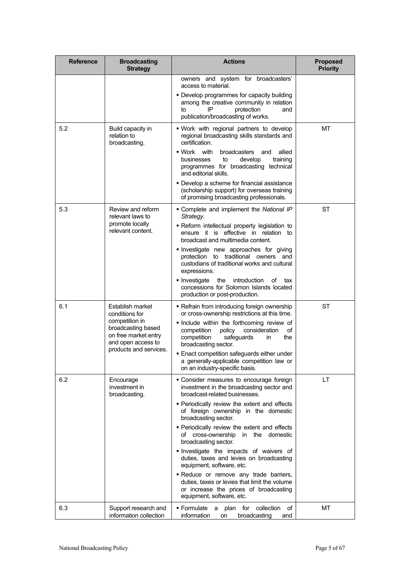| <b>Reference</b> | <b>Broadcasting</b><br><b>Strategy</b>                                                                                                             | <b>Actions</b>                                                                                                                                                                                                                                                                                                                                                                                                                                                                                                                                                                                                                                    | <b>Proposed</b><br><b>Priority</b> |
|------------------|----------------------------------------------------------------------------------------------------------------------------------------------------|---------------------------------------------------------------------------------------------------------------------------------------------------------------------------------------------------------------------------------------------------------------------------------------------------------------------------------------------------------------------------------------------------------------------------------------------------------------------------------------------------------------------------------------------------------------------------------------------------------------------------------------------------|------------------------------------|
|                  |                                                                                                                                                    | owners and system for broadcasters'<br>access to material.<br>• Develop programmes for capacity building<br>among the creative community in relation<br>protection<br>IP<br>to<br>and<br>publication/broadcasting of works.                                                                                                                                                                                                                                                                                                                                                                                                                       |                                    |
| 5.2              | Build capacity in<br>relation to<br>broadcasting.                                                                                                  | . Work with regional partners to develop<br>regional broadcasting skills standards and<br>certification.<br>- Work with<br>broadcasters<br>allied<br>and<br>to<br>develop<br>training<br>businesses<br>programmes for broadcasting technical<br>and editorial skills.<br>• Develop a scheme for financial assistance<br>(scholarship support) for overseas training<br>of promising broadcasting professionals.                                                                                                                                                                                                                                   | МT                                 |
| 5.3              | Review and reform<br>relevant laws to<br>promote locally<br>relevant content.                                                                      | • Complete and implement the National IP<br>Strategy.<br>- Reform intellectual property legislation to<br>ensure it is effective in relation to<br>broadcast and multimedia content.<br>Investigate new approaches for giving<br>protection to traditional owners and<br>custodians of traditional works and cultural<br>expressions.<br>• Investigate<br>the<br>introduction<br>of<br>tax<br>concessions for Solomon Islands located<br>production or post-production.                                                                                                                                                                           | <b>ST</b>                          |
| 6.1              | Establish market<br>conditions for<br>competition in<br>broadcasting based<br>on free market entry<br>and open access to<br>products and services. | • Refrain from introducing foreign ownership<br>or cross-ownership restrictions at this time.<br>. Include within the forthcoming review of<br>competition<br>policy<br>consideration<br>οf<br>competition<br>safeguards<br>the<br>in<br>broadcasting sector.<br>. Enact competition safeguards either under<br>a generally-applicable competition law or<br>on an industry-specific basis.                                                                                                                                                                                                                                                       | ST                                 |
| 6.2              | Encourage<br>investment in<br>broadcasting.                                                                                                        | • Consider measures to encourage foreign<br>investment in the broadcasting sector and<br>broadcast-related businesses.<br>· Periodically review the extent and effects<br>of foreign ownership in the domestic<br>broadcasting sector.<br>· Periodically review the extent and effects<br>cross-ownership<br>in the<br>domestic<br>οf<br>broadcasting sector.<br>Investigate the impacts of waivers of<br>duties, taxes and levies on broadcasting<br>equipment, software, etc.<br>. Reduce or remove any trade barriers,<br>duties, taxes or levies that limit the volume<br>or increase the prices of broadcasting<br>equipment, software, etc. | LT                                 |
| 6.3              | Support research and<br>information collection                                                                                                     | . Formulate a plan for collection<br>of<br>information<br>broadcasting<br>on<br>and                                                                                                                                                                                                                                                                                                                                                                                                                                                                                                                                                               | МT                                 |